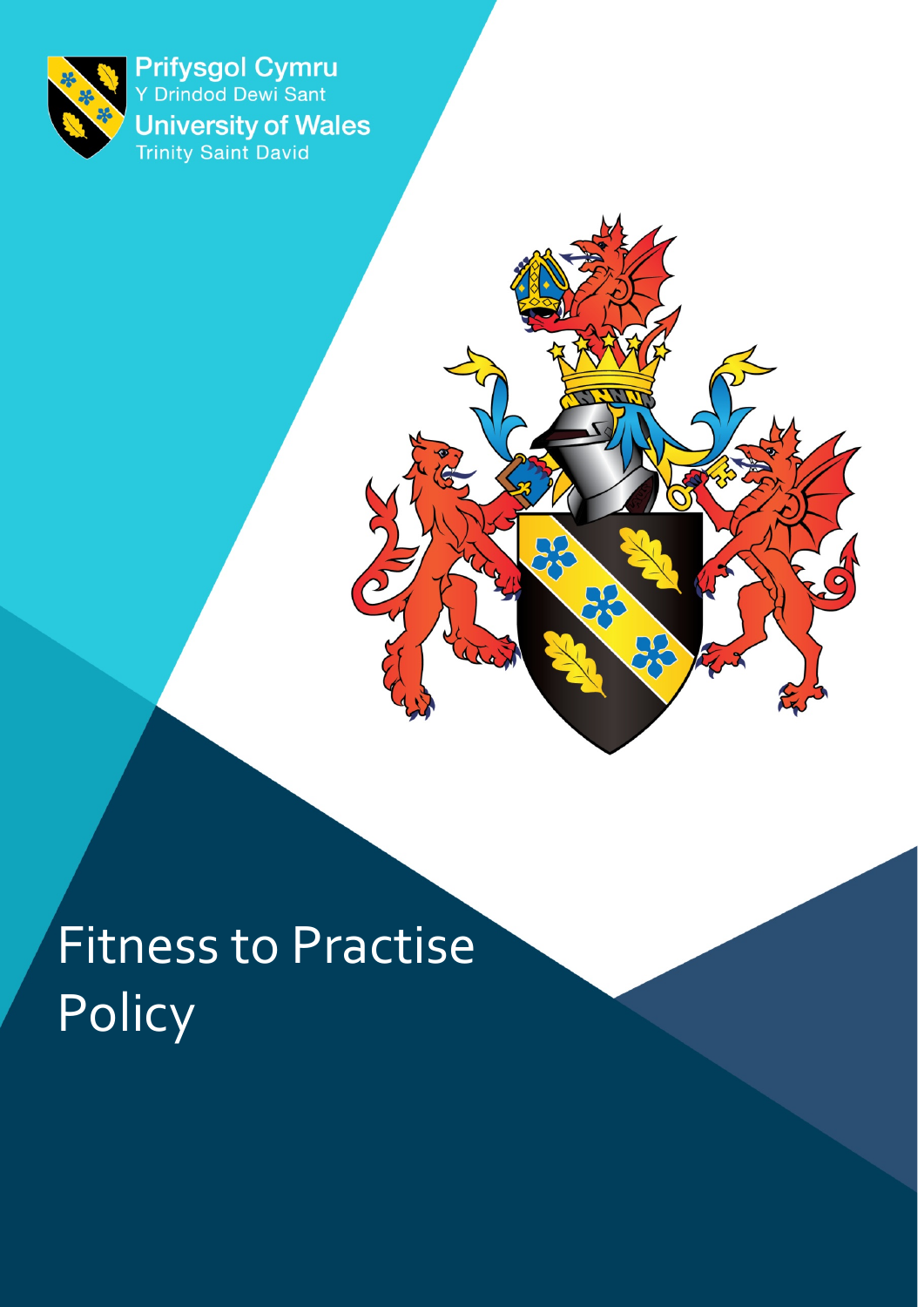

Prifysgol Cymru<br>Y Drindod Dewi Sant **University of Wales**<br>Trinity Saint David

 $\overline{O}$ 

**DC** 

Fitness to Practise Policy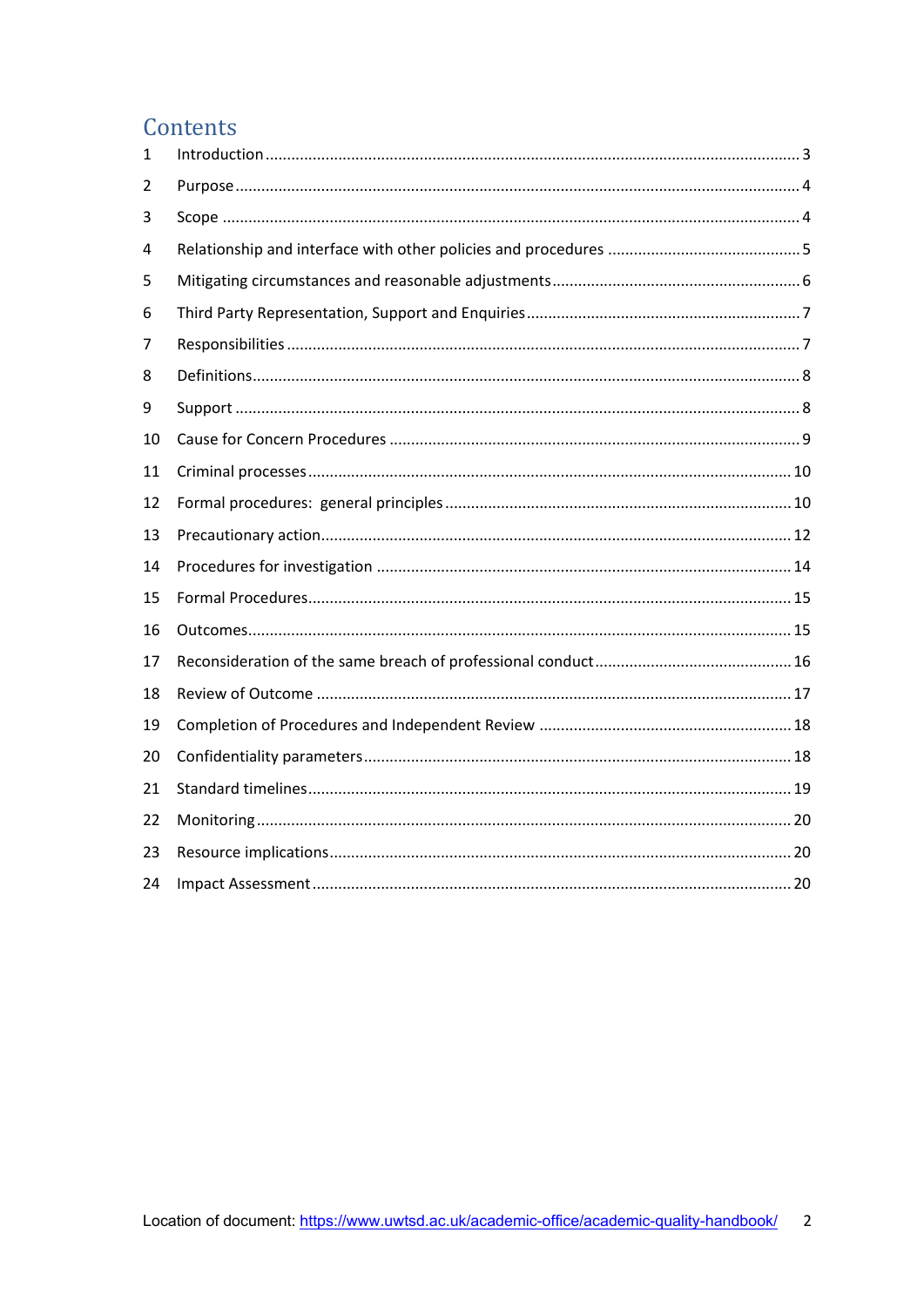## Contents

| 1  |  |
|----|--|
| 2  |  |
| 3  |  |
| 4  |  |
| 5  |  |
| 6  |  |
| 7  |  |
| 8  |  |
| 9  |  |
| 10 |  |
| 11 |  |
| 12 |  |
| 13 |  |
| 14 |  |
| 15 |  |
| 16 |  |
| 17 |  |
| 18 |  |
| 19 |  |
| 20 |  |
| 21 |  |
| 22 |  |
| 23 |  |
| 24 |  |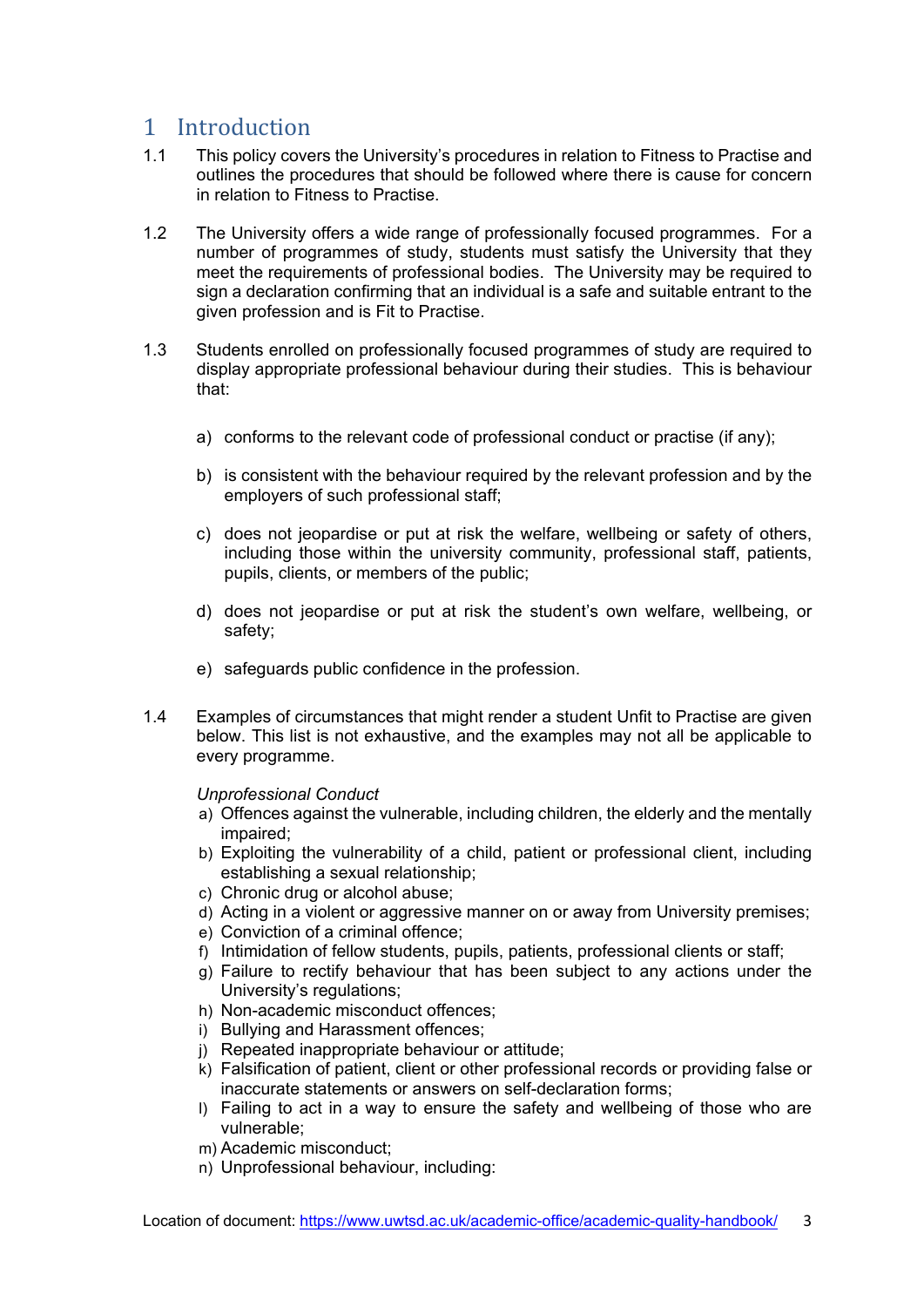# <span id="page-2-0"></span>1 Introduction<br>1.1 This policy cove

- This policy covers the University's procedures in relation to Fitness to Practise and outlines the procedures that should be followed where there is cause for concern in relation to Fitness to Practise.
- 1.2 The University offers a wide range of professionally focused programmes. For a number of programmes of study, students must satisfy the University that they meet the requirements of professional bodies. The University may be required to sign a declaration confirming that an individual is a safe and suitable entrant to the given profession and is Fit to Practise.
- 1.3 Students enrolled on professionally focused programmes of study are required to display appropriate professional behaviour during their studies. This is behaviour that:
	- a) conforms to the relevant code of professional conduct or practise (if any);
	- b) is consistent with the behaviour required by the relevant profession and by the employers of such professional staff;
	- c) does not jeopardise or put at risk the welfare, wellbeing or safety of others, including those within the university community, professional staff, patients, pupils, clients, or members of the public;
	- d) does not jeopardise or put at risk the student's own welfare, wellbeing, or safety;
	- e) safeguards public confidence in the profession.
- 1.4 Examples of circumstances that might render a student Unfit to Practise are given below. This list is not exhaustive, and the examples may not all be applicable to every programme.

*Unprofessional Conduct*

- a) Offences against the vulnerable, including children, the elderly and the mentally impaired;
- b) Exploiting the vulnerability of a child, patient or professional client, including establishing a sexual relationship;
- c) Chronic drug or alcohol abuse;
- d) Acting in a violent or aggressive manner on or away from University premises;
- e) Conviction of a criminal offence;
- f) Intimidation of fellow students, pupils, patients, professional clients or staff;
- g) Failure to rectify behaviour that has been subject to any actions under the University's regulations;
- h) Non-academic misconduct offences;
- i) Bullying and Harassment offences;
- j) Repeated inappropriate behaviour or attitude;
- k) Falsification of patient, client or other professional records or providing false or inaccurate statements or answers on self-declaration forms;
- l) Failing to act in a way to ensure the safety and wellbeing of those who are vulnerable;
- m) Academic misconduct;
- n) Unprofessional behaviour, including: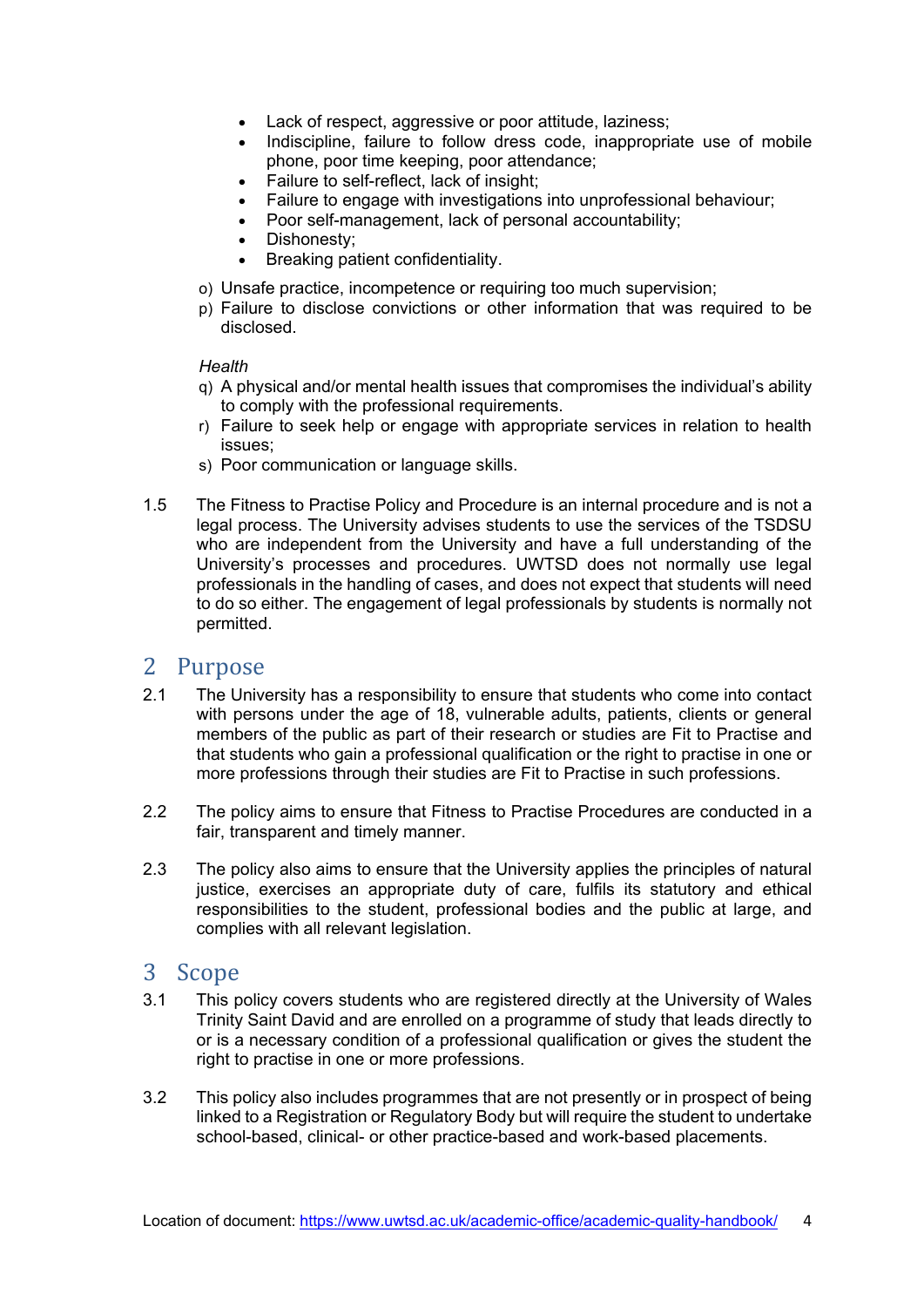- Lack of respect, aggressive or poor attitude, laziness;
- Indiscipline, failure to follow dress code, inappropriate use of mobile phone, poor time keeping, poor attendance;
- Failure to self-reflect, lack of insight;
- Failure to engage with investigations into unprofessional behaviour;
- Poor self-management, lack of personal accountability;
- Dishonesty;
- Breaking patient confidentiality.
- o) Unsafe practice, incompetence or requiring too much supervision;
- p) Failure to disclose convictions or other information that was required to be disclosed.

#### *Health*

- q) A physical and/or mental health issues that compromises the individual's ability to comply with the professional requirements.
- r) Failure to seek help or engage with appropriate services in relation to health issues;
- s) Poor communication or language skills.
- 1.5 The Fitness to Practise Policy and Procedure is an internal procedure and is not a legal process. The University advises students to use the services of the TSDSU who are independent from the University and have a full understanding of the University's processes and procedures. UWTSD does not normally use legal professionals in the handling of cases, and does not expect that students will need to do so either. The engagement of legal professionals by students is normally not permitted.

## <span id="page-3-0"></span>2 Purpose<br>2.1 The Unive

- The University has a responsibility to ensure that students who come into contact with persons under the age of 18, vulnerable adults, patients, clients or general members of the public as part of their research or studies are Fit to Practise and that students who gain a professional qualification or the right to practise in one or more professions through their studies are Fit to Practise in such professions.
- 2.2 The policy aims to ensure that Fitness to Practise Procedures are conducted in a fair, transparent and timely manner.
- 2.3 The policy also aims to ensure that the University applies the principles of natural justice, exercises an appropriate duty of care, fulfils its statutory and ethical responsibilities to the student, professional bodies and the public at large, and complies with all relevant legislation.

## <span id="page-3-1"></span>3 Scope<br>3.1 This r

- This policy covers students who are registered directly at the University of Wales Trinity Saint David and are enrolled on a programme of study that leads directly to or is a necessary condition of a professional qualification or gives the student the right to practise in one or more professions.
- 3.2 This policy also includes programmes that are not presently or in prospect of being linked to a Registration or Regulatory Body but will require the student to undertake school-based, clinical- or other practice-based and work-based placements.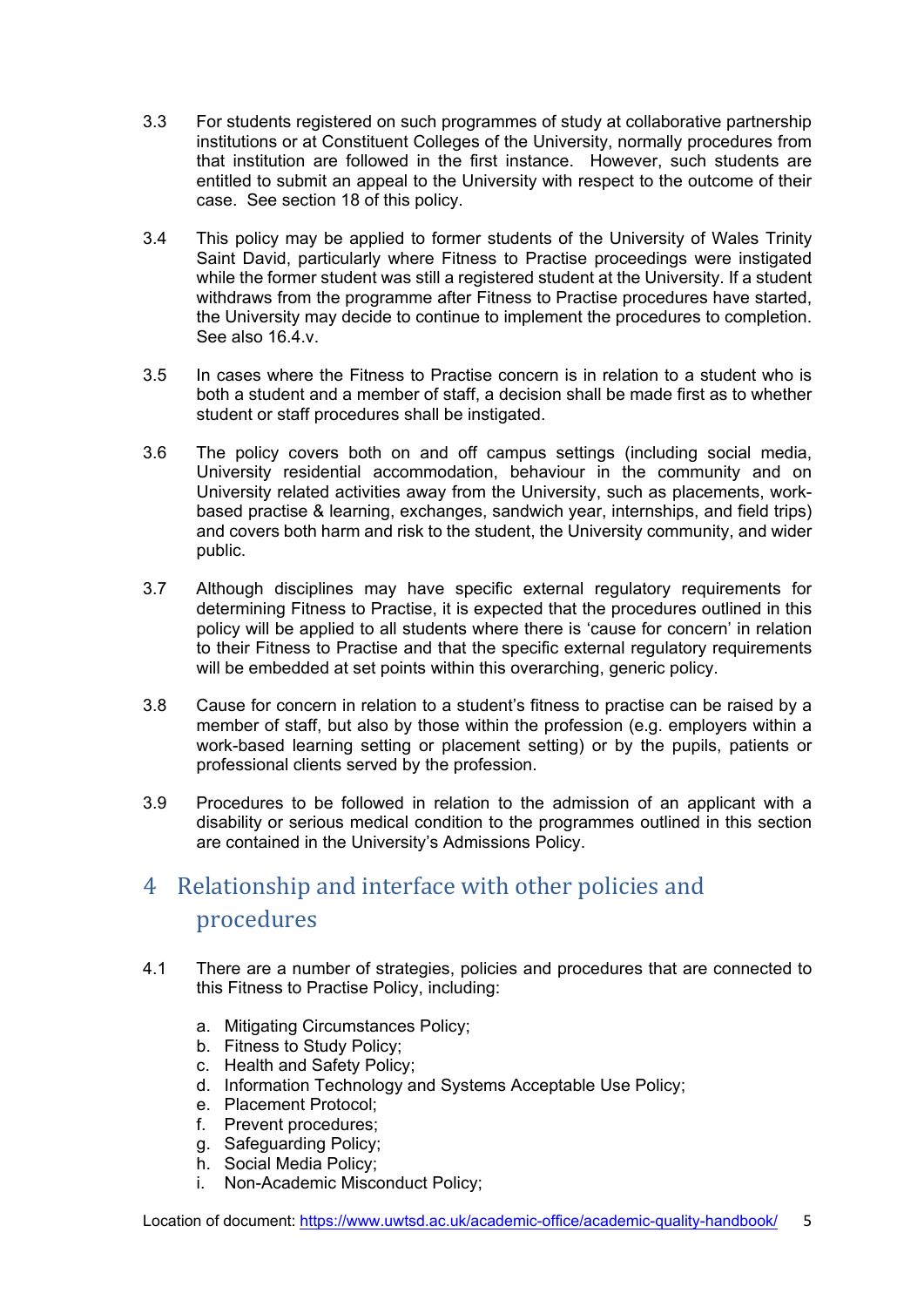- 3.3 For students registered on such programmes of study at collaborative partnership institutions or at Constituent Colleges of the University, normally procedures from that institution are followed in the first instance. However, such students are entitled to submit an appeal to the University with respect to the outcome of their case. See section 18 of this policy.
- 3.4 This policy may be applied to former students of the University of Wales Trinity Saint David, particularly where Fitness to Practise proceedings were instigated while the former student was still a registered student at the University. If a student withdraws from the programme after Fitness to Practise procedures have started, the University may decide to continue to implement the procedures to completion. See also 16.4.v.
- 3.5 In cases where the Fitness to Practise concern is in relation to a student who is both a student and a member of staff, a decision shall be made first as to whether student or staff procedures shall be instigated.
- 3.6 The policy covers both on and off campus settings (including social media, University residential accommodation, behaviour in the community and on University related activities away from the University, such as placements, workbased practise & learning, exchanges, sandwich year, internships, and field trips) and covers both harm and risk to the student, the University community, and wider public.
- 3.7 Although disciplines may have specific external regulatory requirements for determining Fitness to Practise, it is expected that the procedures outlined in this policy will be applied to all students where there is 'cause for concern' in relation to their Fitness to Practise and that the specific external regulatory requirements will be embedded at set points within this overarching, generic policy.
- 3.8 Cause for concern in relation to a student's fitness to practise can be raised by a member of staff, but also by those within the profession (e.g. employers within a work-based learning setting or placement setting) or by the pupils, patients or professional clients served by the profession.
- 3.9 Procedures to be followed in relation to the admission of an applicant with a disability or serious medical condition to the programmes outlined in this section are contained in the University's Admissions Policy.

## <span id="page-4-0"></span>4 Relationship and interface with other policies and procedures

- 4.1 There are a number of strategies, policies and procedures that are connected to this Fitness to Practise Policy, including:
	- a. Mitigating Circumstances Policy;
	- b. Fitness to Study Policy;
	- c. Health and Safety Policy;
	- d. Information Technology and Systems Acceptable Use Policy;
	- e. Placement Protocol;
	- f. Prevent procedures;
	- g. Safeguarding Policy;
	- h. Social Media Policy;
	- i. Non-Academic Misconduct Policy;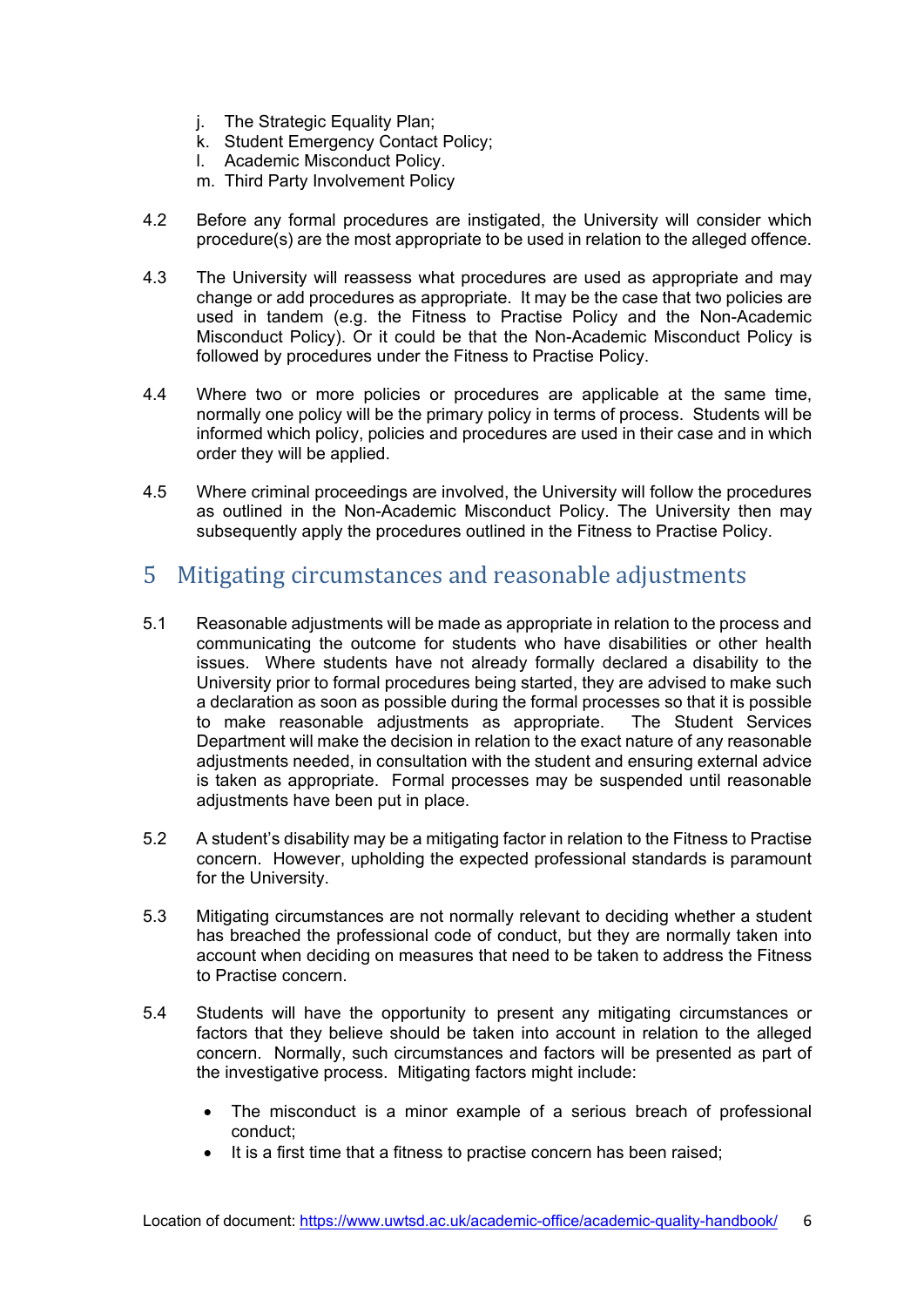- j. The Strategic Equality Plan;
- k. Student Emergency Contact Policy;
- l. Academic Misconduct Policy.
- m. Third Party Involvement Policy
- 4.2 Before any formal procedures are instigated, the University will consider which procedure(s) are the most appropriate to be used in relation to the alleged offence.
- 4.3 The University will reassess what procedures are used as appropriate and may change or add procedures as appropriate. It may be the case that two policies are used in tandem (e.g. the Fitness to Practise Policy and the Non-Academic Misconduct Policy). Or it could be that the Non-Academic Misconduct Policy is followed by procedures under the Fitness to Practise Policy.
- 4.4 Where two or more policies or procedures are applicable at the same time, normally one policy will be the primary policy in terms of process. Students will be informed which policy, policies and procedures are used in their case and in which order they will be applied.
- 4.5 Where criminal proceedings are involved, the University will follow the procedures as outlined in the Non-Academic Misconduct Policy. The University then may subsequently apply the procedures outlined in the Fitness to Practise Policy.

### <span id="page-5-0"></span>5 Mitigating circumstances and reasonable adjustments

- 5.1 Reasonable adjustments will be made as appropriate in relation to the process and communicating the outcome for students who have disabilities or other health issues. Where students have not already formally declared a disability to the University prior to formal procedures being started, they are advised to make such a declaration as soon as possible during the formal processes so that it is possible<br>to make reasonable adjustments as appropriate. The Student Services to make reasonable adjustments as appropriate. Department will make the decision in relation to the exact nature of any reasonable adjustments needed, in consultation with the student and ensuring external advice is taken as appropriate. Formal processes may be suspended until reasonable adjustments have been put in place.
- 5.2 A student's disability may be a mitigating factor in relation to the Fitness to Practise concern. However, upholding the expected professional standards is paramount for the University.
- 5.3 Mitigating circumstances are not normally relevant to deciding whether a student has breached the professional code of conduct, but they are normally taken into account when deciding on measures that need to be taken to address the Fitness to Practise concern.
- 5.4 Students will have the opportunity to present any mitigating circumstances or factors that they believe should be taken into account in relation to the alleged concern. Normally, such circumstances and factors will be presented as part of the investigative process. Mitigating factors might include:
	- The misconduct is a minor example of a serious breach of professional conduct;
	- It is a first time that a fitness to practise concern has been raised;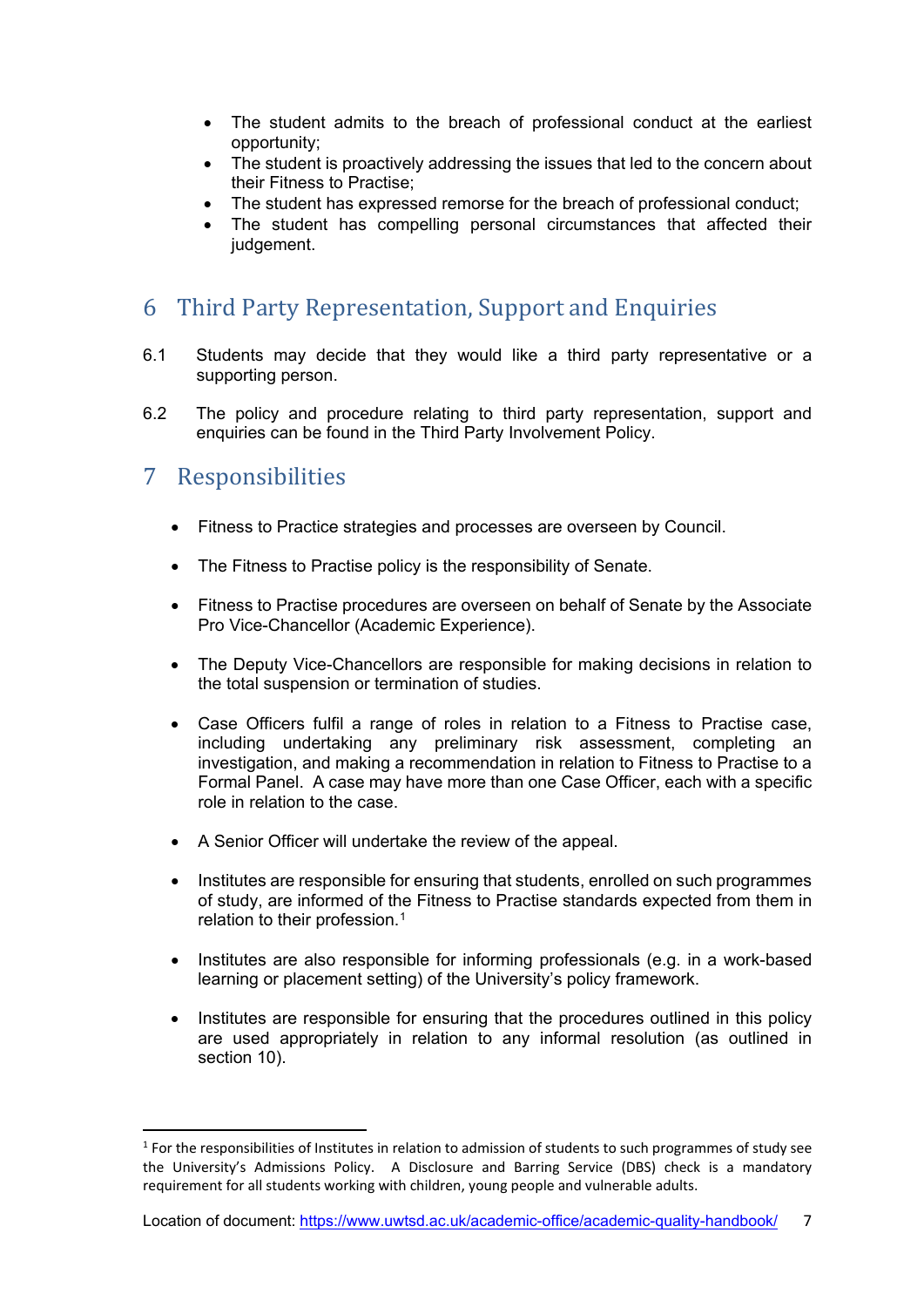- The student admits to the breach of professional conduct at the earliest opportunity;
- The student is proactively addressing the issues that led to the concern about their Fitness to Practise;
- The student has expressed remorse for the breach of professional conduct;
- The student has compelling personal circumstances that affected their judgement.

### <span id="page-6-0"></span>6 Third Party Representation, Support and Enquiries

- 6.1 Students may decide that they would like a third party representative or a supporting person.
- 6.2 The policy and procedure relating to third party representation, support and enquiries can be found in the Third Party Involvement Policy.

### <span id="page-6-1"></span>7 Responsibilities

- Fitness to Practice strategies and processes are overseen by Council.
- The Fitness to Practise policy is the responsibility of Senate.
- Fitness to Practise procedures are overseen on behalf of Senate by the Associate Pro Vice-Chancellor (Academic Experience).
- The Deputy Vice-Chancellors are responsible for making decisions in relation to the total suspension or termination of studies.
- Case Officers fulfil a range of roles in relation to a Fitness to Practise case, including undertaking any preliminary risk assessment, completing an investigation, and making a recommendation in relation to Fitness to Practise to a Formal Panel. A case may have more than one Case Officer, each with a specific role in relation to the case.
- A Senior Officer will undertake the review of the appeal.
- Institutes are responsible for ensuring that students, enrolled on such programmes of study, are informed of the Fitness to Practise standards expected from them in relation to their profession.[1](#page-6-2)
- Institutes are also responsible for informing professionals (e.g. in a work-based learning or placement setting) of the University's policy framework.
- Institutes are responsible for ensuring that the procedures outlined in this policy are used appropriately in relation to any informal resolution (as outlined in section 10).

<span id="page-6-2"></span> $1$  For the responsibilities of Institutes in relation to admission of students to such programmes of study see the University's Admissions Policy. A Disclosure and Barring Service (DBS) check is a mandatory requirement for all students working with children, young people and vulnerable adults.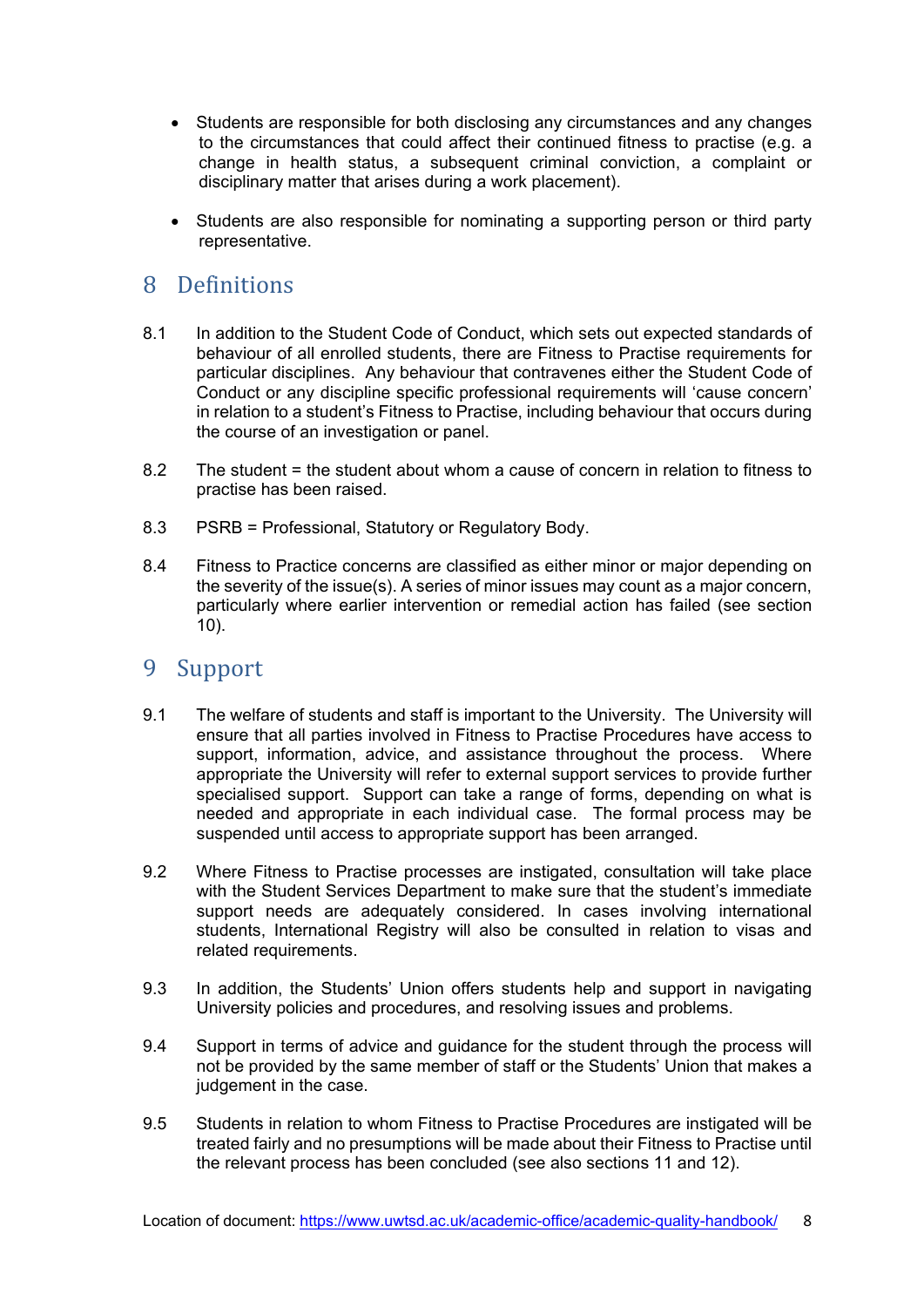- Students are responsible for both disclosing any circumstances and any changes to the circumstances that could affect their continued fitness to practise (e.g. a change in health status, a subsequent criminal conviction, a complaint or disciplinary matter that arises during a work placement).
- Students are also responsible for nominating a supporting person or third party representative.

### <span id="page-7-0"></span>8 Definitions

- 8.1 In addition to the Student Code of Conduct, which sets out expected standards of behaviour of all enrolled students, there are Fitness to Practise requirements for particular disciplines. Any behaviour that contravenes either the Student Code of Conduct or any discipline specific professional requirements will 'cause concern' in relation to a student's Fitness to Practise, including behaviour that occurs during the course of an investigation or panel.
- 8.2 The student = the student about whom a cause of concern in relation to fitness to practise has been raised.
- 8.3 PSRB = Professional, Statutory or Regulatory Body.
- 8.4 Fitness to Practice concerns are classified as either minor or major depending on the severity of the issue(s). A series of minor issues may count as a major concern, particularly where earlier intervention or remedial action has failed (see section 10).

#### <span id="page-7-1"></span>9 Support

- 9.1 The welfare of students and staff is important to the University. The University will ensure that all parties involved in Fitness to Practise Procedures have access to support, information, advice, and assistance throughout the process. Where appropriate the University will refer to external support services to provide further specialised support. Support can take a range of forms, depending on what is needed and appropriate in each individual case. The formal process may be suspended until access to appropriate support has been arranged.
- 9.2 Where Fitness to Practise processes are instigated, consultation will take place with the Student Services Department to make sure that the student's immediate support needs are adequately considered. In cases involving international students, International Registry will also be consulted in relation to visas and related requirements.
- 9.3 In addition, the Students' Union offers students help and support in navigating University policies and procedures, and resolving issues and problems.
- 9.4 Support in terms of advice and guidance for the student through the process will not be provided by the same member of staff or the Students' Union that makes a judgement in the case.
- 9.5 Students in relation to whom Fitness to Practise Procedures are instigated will be treated fairly and no presumptions will be made about their Fitness to Practise until the relevant process has been concluded (see also sections 11 and 12).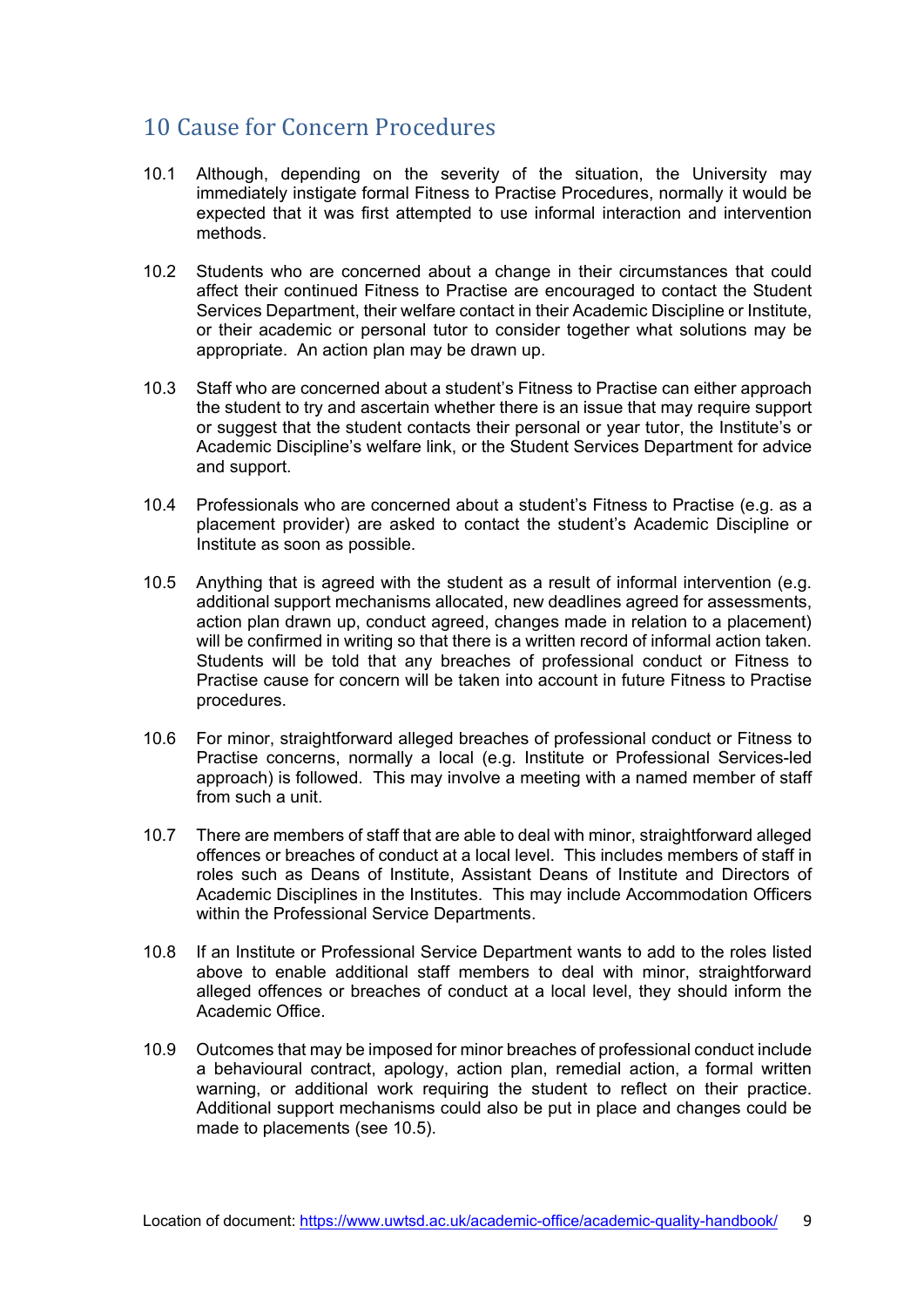### <span id="page-8-0"></span>10 Cause for Concern Procedures

- 10.1 Although, depending on the severity of the situation, the University may immediately instigate formal Fitness to Practise Procedures, normally it would be expected that it was first attempted to use informal interaction and intervention methods.
- 10.2 Students who are concerned about a change in their circumstances that could affect their continued Fitness to Practise are encouraged to contact the Student Services Department, their welfare contact in their Academic Discipline or Institute, or their academic or personal tutor to consider together what solutions may be appropriate. An action plan may be drawn up.
- 10.3 Staff who are concerned about a student's Fitness to Practise can either approach the student to try and ascertain whether there is an issue that may require support or suggest that the student contacts their personal or year tutor, the Institute's or Academic Discipline's welfare link, or the Student Services Department for advice and support.
- 10.4 Professionals who are concerned about a student's Fitness to Practise (e.g. as a placement provider) are asked to contact the student's Academic Discipline or Institute as soon as possible.
- 10.5 Anything that is agreed with the student as a result of informal intervention (e.g. additional support mechanisms allocated, new deadlines agreed for assessments, action plan drawn up, conduct agreed, changes made in relation to a placement) will be confirmed in writing so that there is a written record of informal action taken. Students will be told that any breaches of professional conduct or Fitness to Practise cause for concern will be taken into account in future Fitness to Practise procedures.
- 10.6 For minor, straightforward alleged breaches of professional conduct or Fitness to Practise concerns, normally a local (e.g. Institute or Professional Services-led approach) is followed. This may involve a meeting with a named member of staff from such a unit.
- 10.7 There are members of staff that are able to deal with minor, straightforward alleged offences or breaches of conduct at a local level. This includes members of staff in roles such as Deans of Institute, Assistant Deans of Institute and Directors of Academic Disciplines in the Institutes. This may include Accommodation Officers within the Professional Service Departments.
- 10.8 If an Institute or Professional Service Department wants to add to the roles listed above to enable additional staff members to deal with minor, straightforward alleged offences or breaches of conduct at a local level, they should inform the Academic Office.
- 10.9 Outcomes that may be imposed for minor breaches of professional conduct include a behavioural contract, apology, action plan, remedial action, a formal written warning, or additional work requiring the student to reflect on their practice. Additional support mechanisms could also be put in place and changes could be made to placements (see 10.5).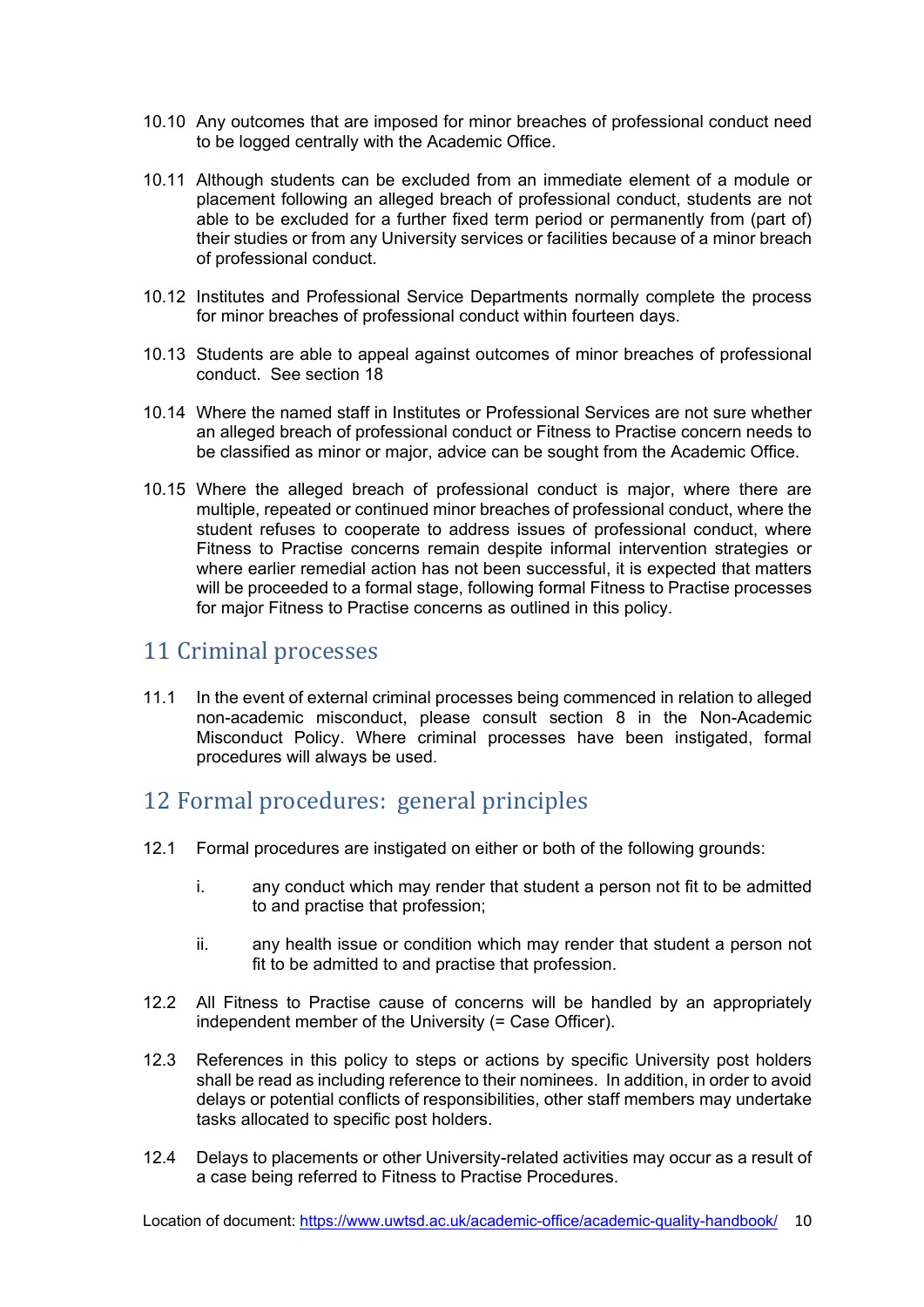- 10.10 Any outcomes that are imposed for minor breaches of professional conduct need to be logged centrally with the Academic Office.
- 10.11 Although students can be excluded from an immediate element of a module or placement following an alleged breach of professional conduct, students are not able to be excluded for a further fixed term period or permanently from (part of) their studies or from any University services or facilities because of a minor breach of professional conduct.
- 10.12 Institutes and Professional Service Departments normally complete the process for minor breaches of professional conduct within fourteen days.
- 10.13 Students are able to appeal against outcomes of minor breaches of professional conduct. See section 18
- 10.14 Where the named staff in Institutes or Professional Services are not sure whether an alleged breach of professional conduct or Fitness to Practise concern needs to be classified as minor or major, advice can be sought from the Academic Office.
- 10.15 Where the alleged breach of professional conduct is major, where there are multiple, repeated or continued minor breaches of professional conduct, where the student refuses to cooperate to address issues of professional conduct, where Fitness to Practise concerns remain despite informal intervention strategies or where earlier remedial action has not been successful, it is expected that matters will be proceeded to a formal stage, following formal Fitness to Practise processes for major Fitness to Practise concerns as outlined in this policy.

### <span id="page-9-0"></span>11 Criminal processes

11.1 In the event of external criminal processes being commenced in relation to alleged non-academic misconduct, please consult section 8 in the Non-Academic Misconduct Policy. Where criminal processes have been instigated, formal procedures will always be used.

### <span id="page-9-1"></span>12 Formal procedures: general principles

- 12.1 Formal procedures are instigated on either or both of the following grounds:
	- i. any conduct which may render that student a person not fit to be admitted to and practise that profession;
	- ii. any health issue or condition which may render that student a person not fit to be admitted to and practise that profession.
- 12.2 All Fitness to Practise cause of concerns will be handled by an appropriately independent member of the University (= Case Officer).
- 12.3 References in this policy to steps or actions by specific University post holders shall be read as including reference to their nominees. In addition, in order to avoid delays or potential conflicts of responsibilities, other staff members may undertake tasks allocated to specific post holders.
- 12.4 Delays to placements or other University-related activities may occur as a result of a case being referred to Fitness to Practise Procedures.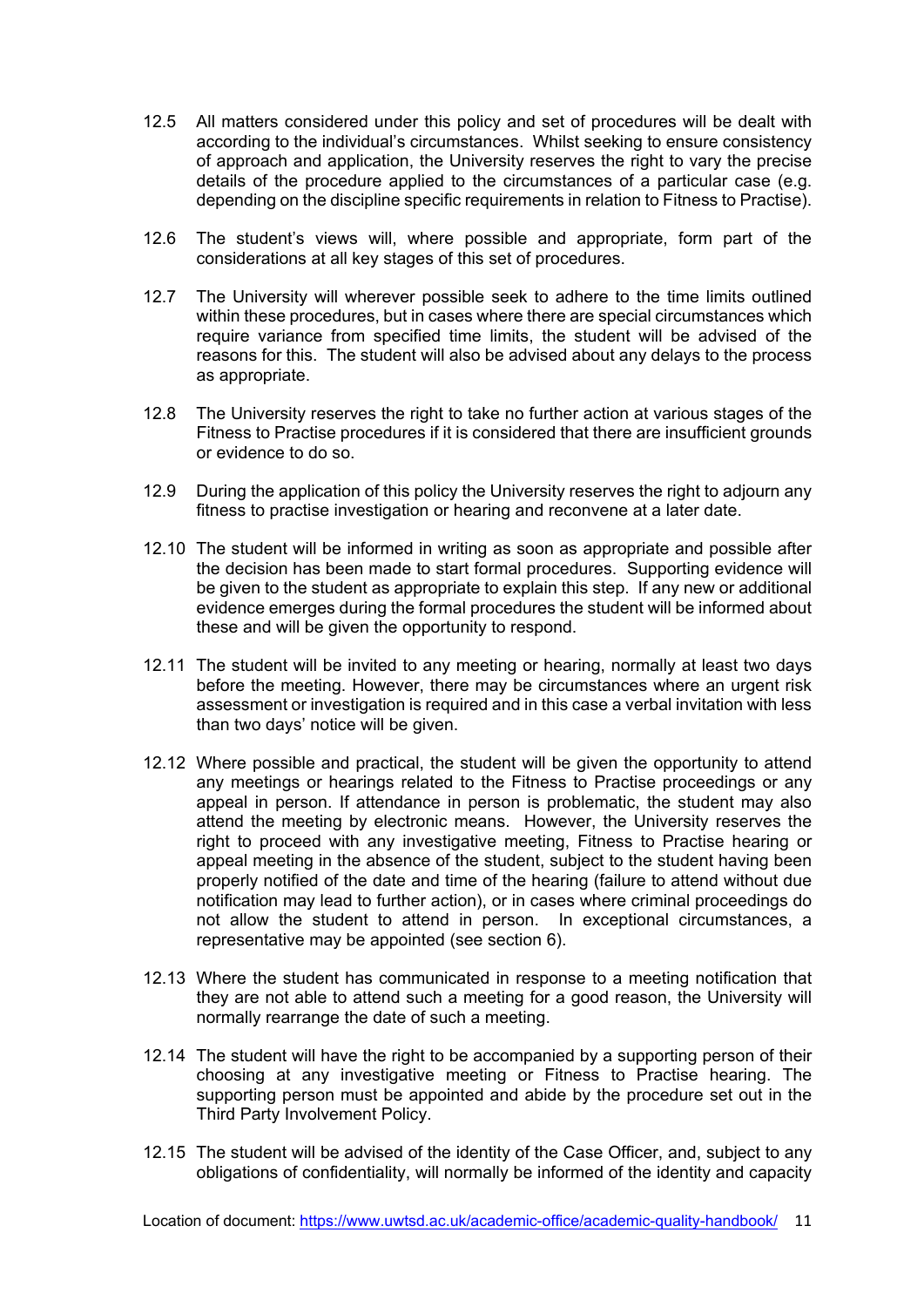- 12.5 All matters considered under this policy and set of procedures will be dealt with according to the individual's circumstances. Whilst seeking to ensure consistency of approach and application, the University reserves the right to vary the precise details of the procedure applied to the circumstances of a particular case (e.g. depending on the discipline specific requirements in relation to Fitness to Practise).
- 12.6 The student's views will, where possible and appropriate, form part of the considerations at all key stages of this set of procedures.
- 12.7 The University will wherever possible seek to adhere to the time limits outlined within these procedures, but in cases where there are special circumstances which require variance from specified time limits, the student will be advised of the reasons for this. The student will also be advised about any delays to the process as appropriate.
- 12.8 The University reserves the right to take no further action at various stages of the Fitness to Practise procedures if it is considered that there are insufficient grounds or evidence to do so.
- 12.9 During the application of this policy the University reserves the right to adjourn any fitness to practise investigation or hearing and reconvene at a later date.
- 12.10 The student will be informed in writing as soon as appropriate and possible after the decision has been made to start formal procedures. Supporting evidence will be given to the student as appropriate to explain this step. If any new or additional evidence emerges during the formal procedures the student will be informed about these and will be given the opportunity to respond.
- 12.11 The student will be invited to any meeting or hearing, normally at least two days before the meeting. However, there may be circumstances where an urgent risk assessment or investigation is required and in this case a verbal invitation with less than two days' notice will be given.
- 12.12 Where possible and practical, the student will be given the opportunity to attend any meetings or hearings related to the Fitness to Practise proceedings or any appeal in person. If attendance in person is problematic, the student may also attend the meeting by electronic means. However, the University reserves the right to proceed with any investigative meeting, Fitness to Practise hearing or appeal meeting in the absence of the student, subject to the student having been properly notified of the date and time of the hearing (failure to attend without due notification may lead to further action), or in cases where criminal proceedings do not allow the student to attend in person. In exceptional circumstances, a representative may be appointed (see section 6).
- 12.13 Where the student has communicated in response to a meeting notification that they are not able to attend such a meeting for a good reason, the University will normally rearrange the date of such a meeting.
- 12.14 The student will have the right to be accompanied by a supporting person of their choosing at any investigative meeting or Fitness to Practise hearing. The supporting person must be appointed and abide by the procedure set out in the Third Party Involvement Policy.
- 12.15 The student will be advised of the identity of the Case Officer, and, subject to any obligations of confidentiality, will normally be informed of the identity and capacity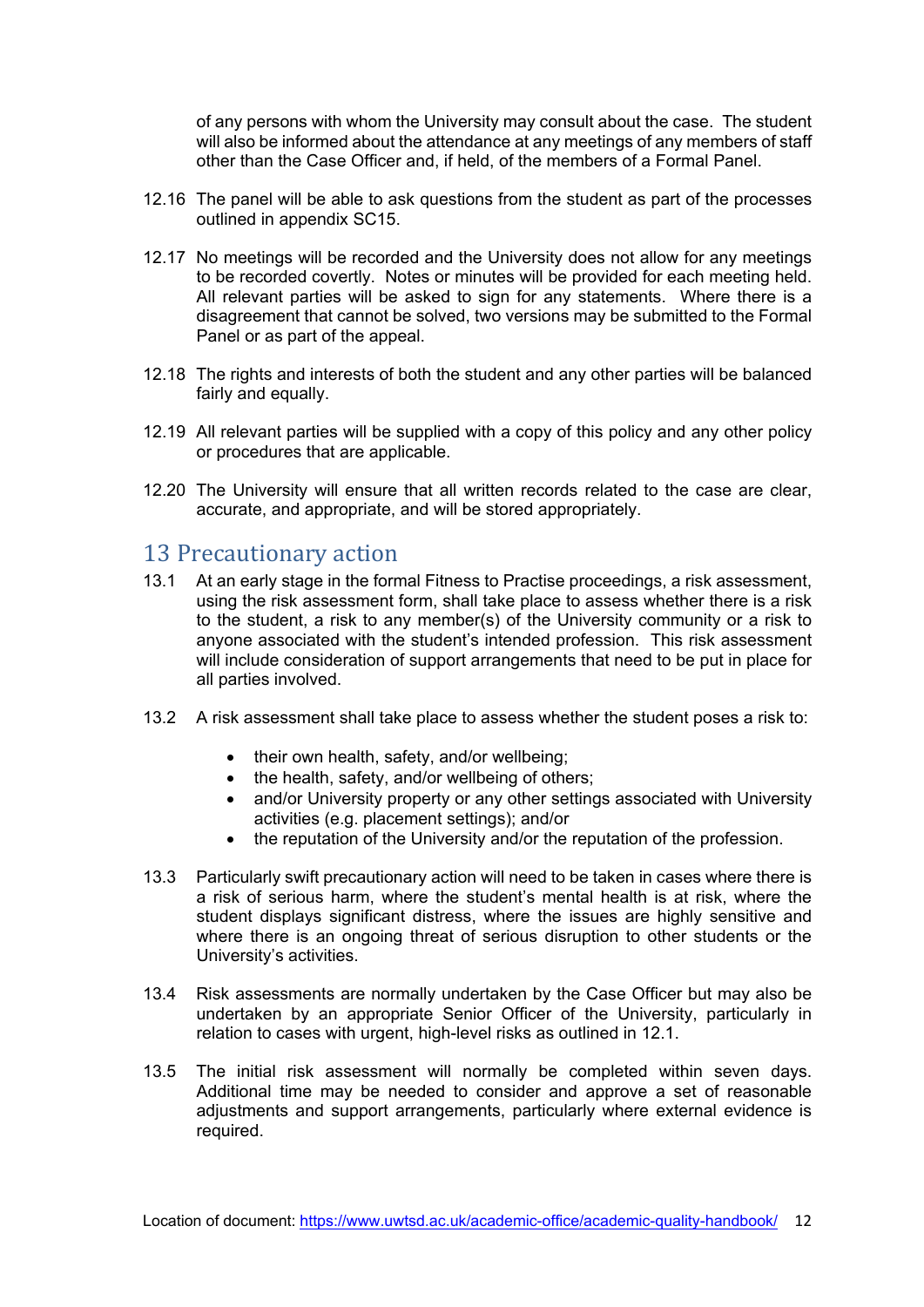of any persons with whom the University may consult about the case. The student will also be informed about the attendance at any meetings of any members of staff other than the Case Officer and, if held, of the members of a Formal Panel.

- 12.16 The panel will be able to ask questions from the student as part of the processes outlined in appendix SC15.
- 12.17 No meetings will be recorded and the University does not allow for any meetings to be recorded covertly. Notes or minutes will be provided for each meeting held. All relevant parties will be asked to sign for any statements. Where there is a disagreement that cannot be solved, two versions may be submitted to the Formal Panel or as part of the appeal.
- 12.18 The rights and interests of both the student and any other parties will be balanced fairly and equally.
- 12.19 All relevant parties will be supplied with a copy of this policy and any other policy or procedures that are applicable.
- 12.20 The University will ensure that all written records related to the case are clear, accurate, and appropriate, and will be stored appropriately.

# <span id="page-11-0"></span>13 Precautionary action<br>13.1 At an early stage in the form

- At an early stage in the formal Fitness to Practise proceedings, a risk assessment, using the risk assessment form, shall take place to assess whether there is a risk to the student, a risk to any member(s) of the University community or a risk to anyone associated with the student's intended profession. This risk assessment will include consideration of support arrangements that need to be put in place for all parties involved.
- 13.2 A risk assessment shall take place to assess whether the student poses a risk to:
	- their own health, safety, and/or wellbeing:
	- the health, safety, and/or wellbeing of others;
	- and/or University property or any other settings associated with University activities (e.g. placement settings); and/or
	- the reputation of the University and/or the reputation of the profession.
- 13.3 Particularly swift precautionary action will need to be taken in cases where there is a risk of serious harm, where the student's mental health is at risk, where the student displays significant distress, where the issues are highly sensitive and where there is an ongoing threat of serious disruption to other students or the University's activities.
- 13.4 Risk assessments are normally undertaken by the Case Officer but may also be undertaken by an appropriate Senior Officer of the University, particularly in relation to cases with urgent, high-level risks as outlined in 12.1.
- 13.5 The initial risk assessment will normally be completed within seven days. Additional time may be needed to consider and approve a set of reasonable adjustments and support arrangements, particularly where external evidence is required.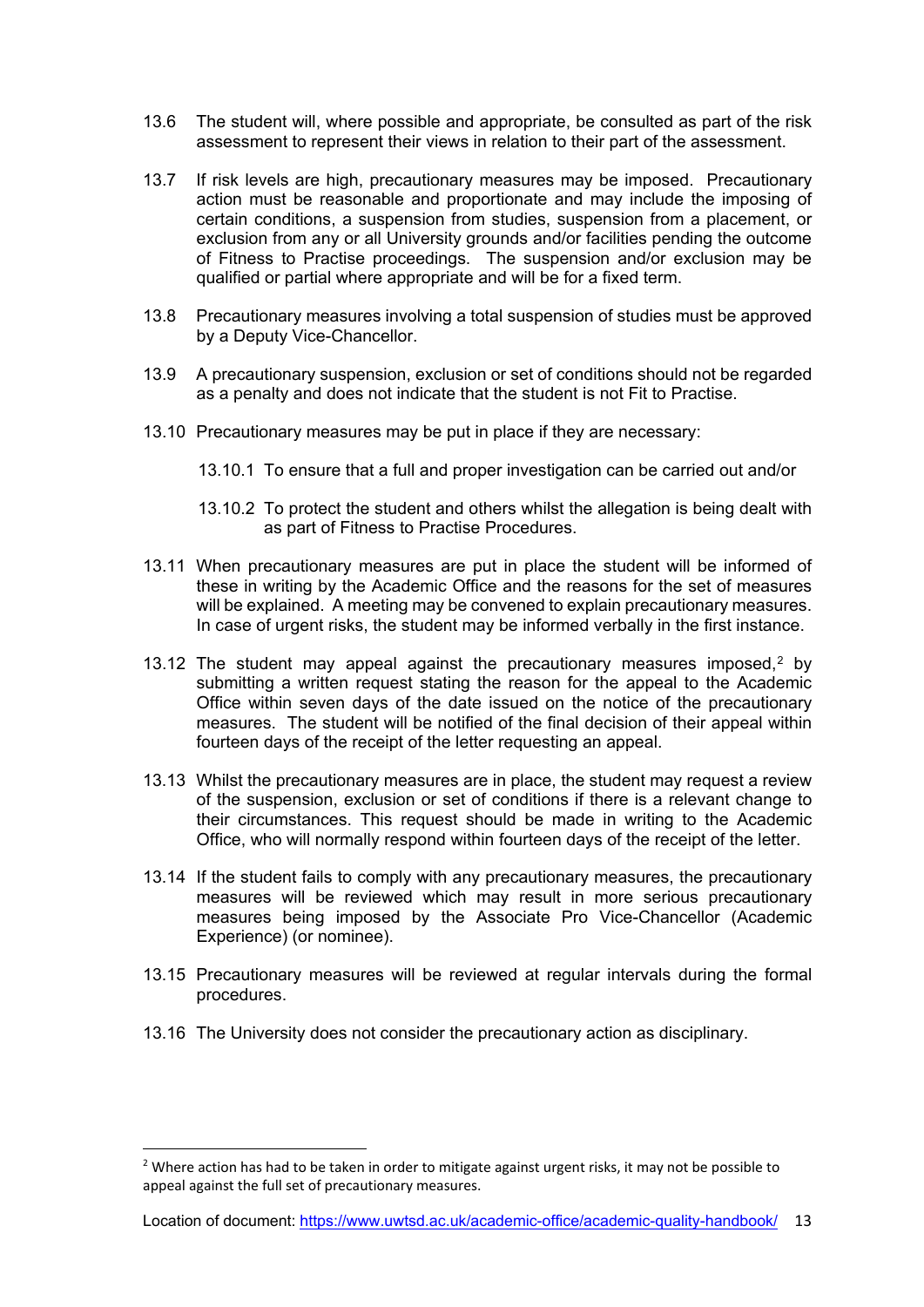- 13.6 The student will, where possible and appropriate, be consulted as part of the risk assessment to represent their views in relation to their part of the assessment.
- 13.7 If risk levels are high, precautionary measures may be imposed. Precautionary action must be reasonable and proportionate and may include the imposing of certain conditions, a suspension from studies, suspension from a placement, or exclusion from any or all University grounds and/or facilities pending the outcome of Fitness to Practise proceedings. The suspension and/or exclusion may be qualified or partial where appropriate and will be for a fixed term.
- 13.8 Precautionary measures involving a total suspension of studies must be approved by a Deputy Vice-Chancellor.
- 13.9 A precautionary suspension, exclusion or set of conditions should not be regarded as a penalty and does not indicate that the student is not Fit to Practise.
- 13.10 Precautionary measures may be put in place if they are necessary:
	- 13.10.1 To ensure that a full and proper investigation can be carried out and/or
	- 13.10.2 To protect the student and others whilst the allegation is being dealt with as part of Fitness to Practise Procedures.
- 13.11 When precautionary measures are put in place the student will be informed of these in writing by the Academic Office and the reasons for the set of measures will be explained. A meeting may be convened to explain precautionary measures. In case of urgent risks, the student may be informed verbally in the first instance.
- 13.1[2](#page-12-0) The student may appeal against the precautionary measures imposed,<sup>2</sup> by submitting a written request stating the reason for the appeal to the Academic Office within seven days of the date issued on the notice of the precautionary measures. The student will be notified of the final decision of their appeal within fourteen days of the receipt of the letter requesting an appeal.
- 13.13 Whilst the precautionary measures are in place, the student may request a review of the suspension, exclusion or set of conditions if there is a relevant change to their circumstances. This request should be made in writing to the Academic Office, who will normally respond within fourteen days of the receipt of the letter.
- 13.14 If the student fails to comply with any precautionary measures, the precautionary measures will be reviewed which may result in more serious precautionary measures being imposed by the Associate Pro Vice-Chancellor (Academic Experience) (or nominee).
- 13.15 Precautionary measures will be reviewed at regular intervals during the formal procedures.
- 13.16 The University does not consider the precautionary action as disciplinary.

<span id="page-12-0"></span><sup>&</sup>lt;sup>2</sup> Where action has had to be taken in order to mitigate against urgent risks, it may not be possible to appeal against the full set of precautionary measures.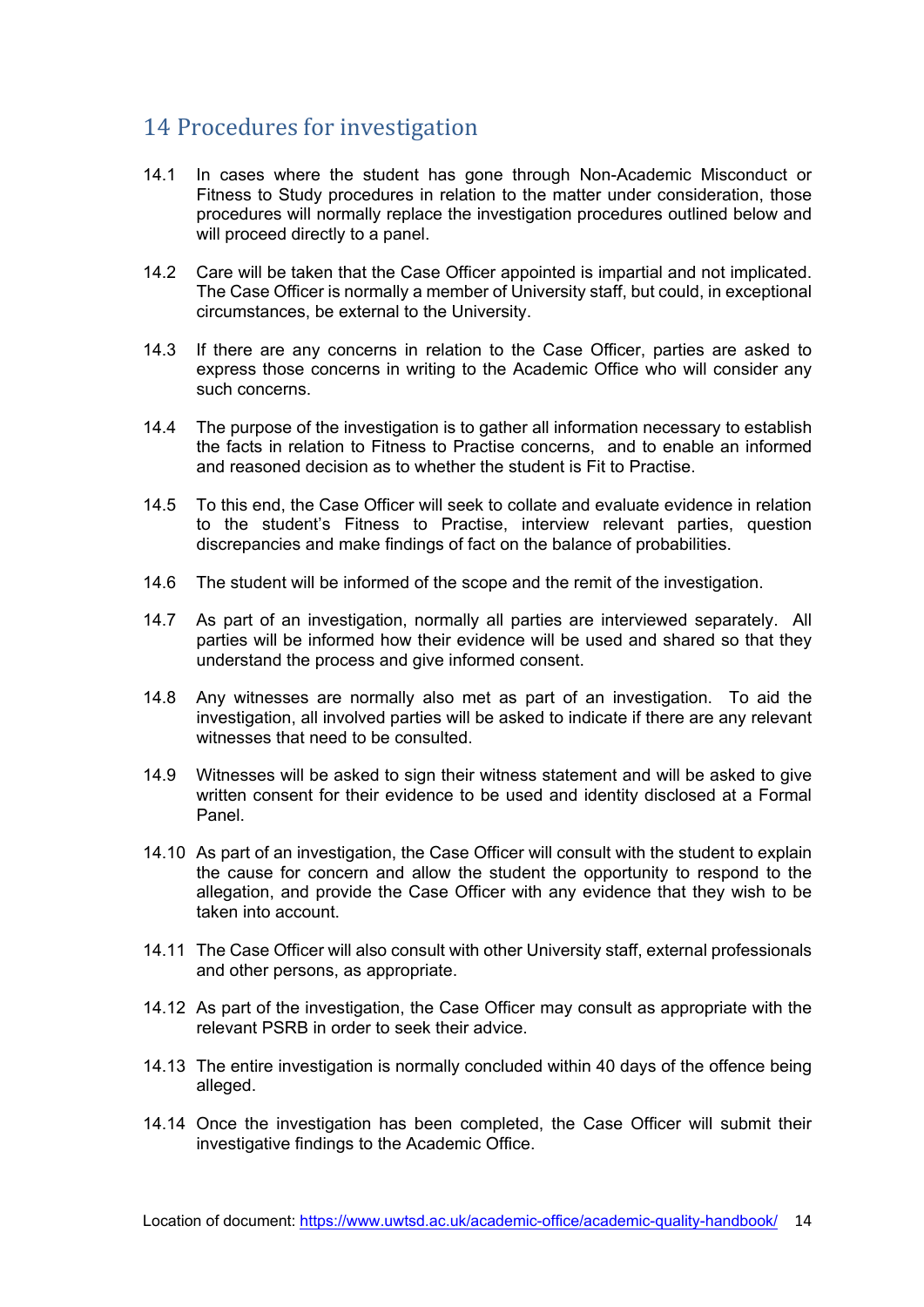### <span id="page-13-0"></span>14 Procedures for investigation

- 14.1 In cases where the student has gone through Non-Academic Misconduct or Fitness to Study procedures in relation to the matter under consideration, those procedures will normally replace the investigation procedures outlined below and will proceed directly to a panel.
- 14.2 Care will be taken that the Case Officer appointed is impartial and not implicated. The Case Officer is normally a member of University staff, but could, in exceptional circumstances, be external to the University.
- 14.3 If there are any concerns in relation to the Case Officer, parties are asked to express those concerns in writing to the Academic Office who will consider any such concerns.
- 14.4 The purpose of the investigation is to gather all information necessary to establish the facts in relation to Fitness to Practise concerns, and to enable an informed and reasoned decision as to whether the student is Fit to Practise.
- 14.5 To this end, the Case Officer will seek to collate and evaluate evidence in relation to the student's Fitness to Practise, interview relevant parties, question discrepancies and make findings of fact on the balance of probabilities.
- 14.6 The student will be informed of the scope and the remit of the investigation.
- 14.7 As part of an investigation, normally all parties are interviewed separately. All parties will be informed how their evidence will be used and shared so that they understand the process and give informed consent.
- 14.8 Any witnesses are normally also met as part of an investigation. To aid the investigation, all involved parties will be asked to indicate if there are any relevant witnesses that need to be consulted.
- 14.9 Witnesses will be asked to sign their witness statement and will be asked to give written consent for their evidence to be used and identity disclosed at a Formal Panel.
- 14.10 As part of an investigation, the Case Officer will consult with the student to explain the cause for concern and allow the student the opportunity to respond to the allegation, and provide the Case Officer with any evidence that they wish to be taken into account.
- 14.11 The Case Officer will also consult with other University staff, external professionals and other persons, as appropriate.
- 14.12 As part of the investigation, the Case Officer may consult as appropriate with the relevant PSRB in order to seek their advice.
- 14.13 The entire investigation is normally concluded within 40 days of the offence being alleged.
- 14.14 Once the investigation has been completed, the Case Officer will submit their investigative findings to the Academic Office.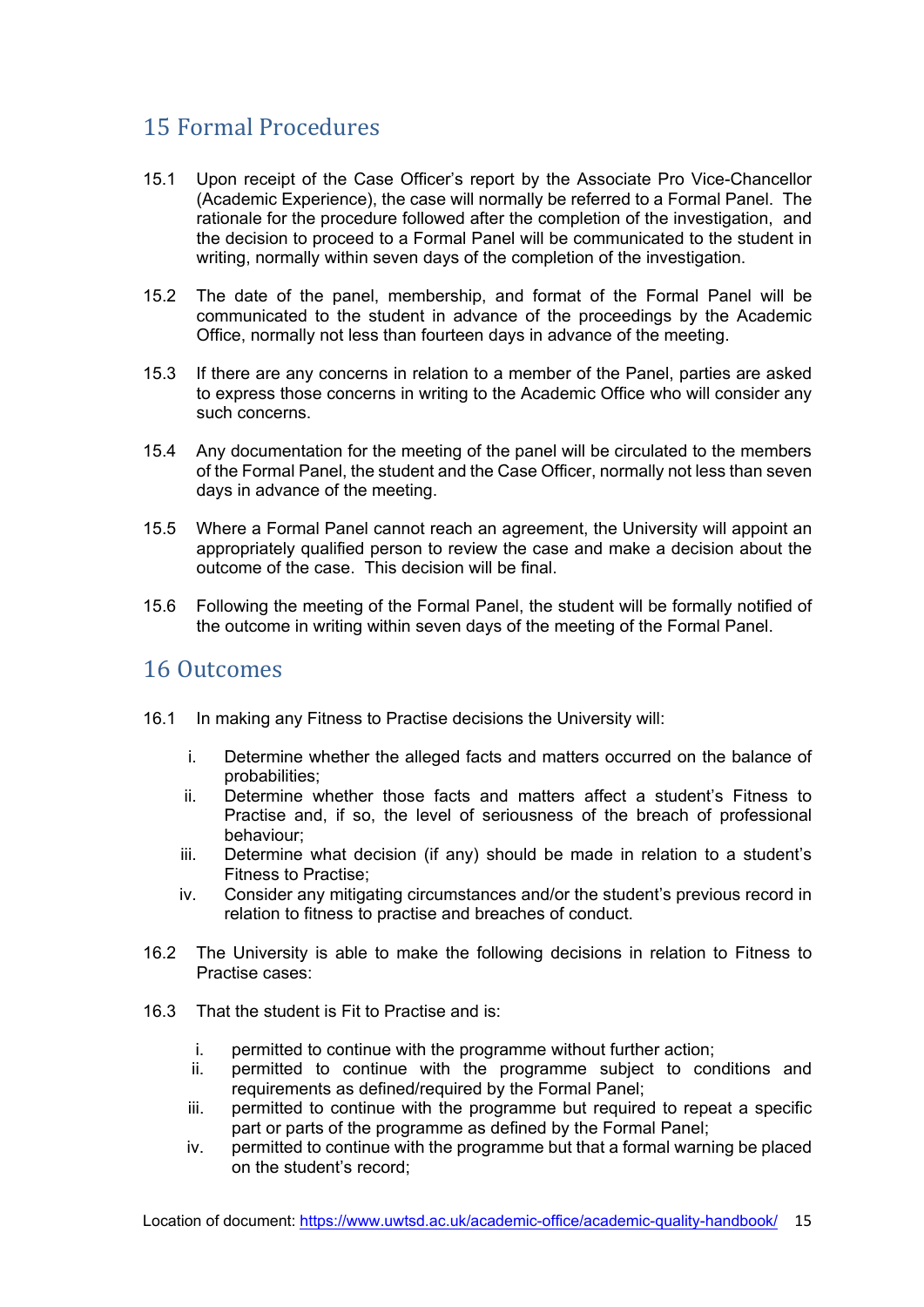### <span id="page-14-0"></span>15 Formal Procedures

- 15.1 Upon receipt of the Case Officer's report by the Associate Pro Vice-Chancellor (Academic Experience), the case will normally be referred to a Formal Panel. The rationale for the procedure followed after the completion of the investigation, and the decision to proceed to a Formal Panel will be communicated to the student in writing, normally within seven days of the completion of the investigation.
- 15.2 The date of the panel, membership, and format of the Formal Panel will be communicated to the student in advance of the proceedings by the Academic Office, normally not less than fourteen days in advance of the meeting.
- 15.3 If there are any concerns in relation to a member of the Panel, parties are asked to express those concerns in writing to the Academic Office who will consider any such concerns.
- 15.4 Any documentation for the meeting of the panel will be circulated to the members of the Formal Panel, the student and the Case Officer, normally not less than seven days in advance of the meeting.
- 15.5 Where a Formal Panel cannot reach an agreement, the University will appoint an appropriately qualified person to review the case and make a decision about the outcome of the case. This decision will be final.
- 15.6 Following the meeting of the Formal Panel, the student will be formally notified of the outcome in writing within seven days of the meeting of the Formal Panel.

#### <span id="page-14-1"></span>16 Outcomes

- 16.1 In making any Fitness to Practise decisions the University will:
	- i. Determine whether the alleged facts and matters occurred on the balance of probabilities;
	- ii. Determine whether those facts and matters affect a student's Fitness to Practise and, if so, the level of seriousness of the breach of professional behaviour;
	- iii. Determine what decision (if any) should be made in relation to a student's Fitness to Practise;
	- iv. Consider any mitigating circumstances and/or the student's previous record in relation to fitness to practise and breaches of conduct.
- 16.2 The University is able to make the following decisions in relation to Fitness to Practise cases:
- 16.3 That the student is Fit to Practise and is:
	- i. permitted to continue with the programme without further action;
	- ii. permitted to continue with the programme subject to conditions and requirements as defined/required by the Formal Panel;
	- iii. permitted to continue with the programme but required to repeat a specific part or parts of the programme as defined by the Formal Panel;
	- iv. permitted to continue with the programme but that a formal warning be placed on the student's record;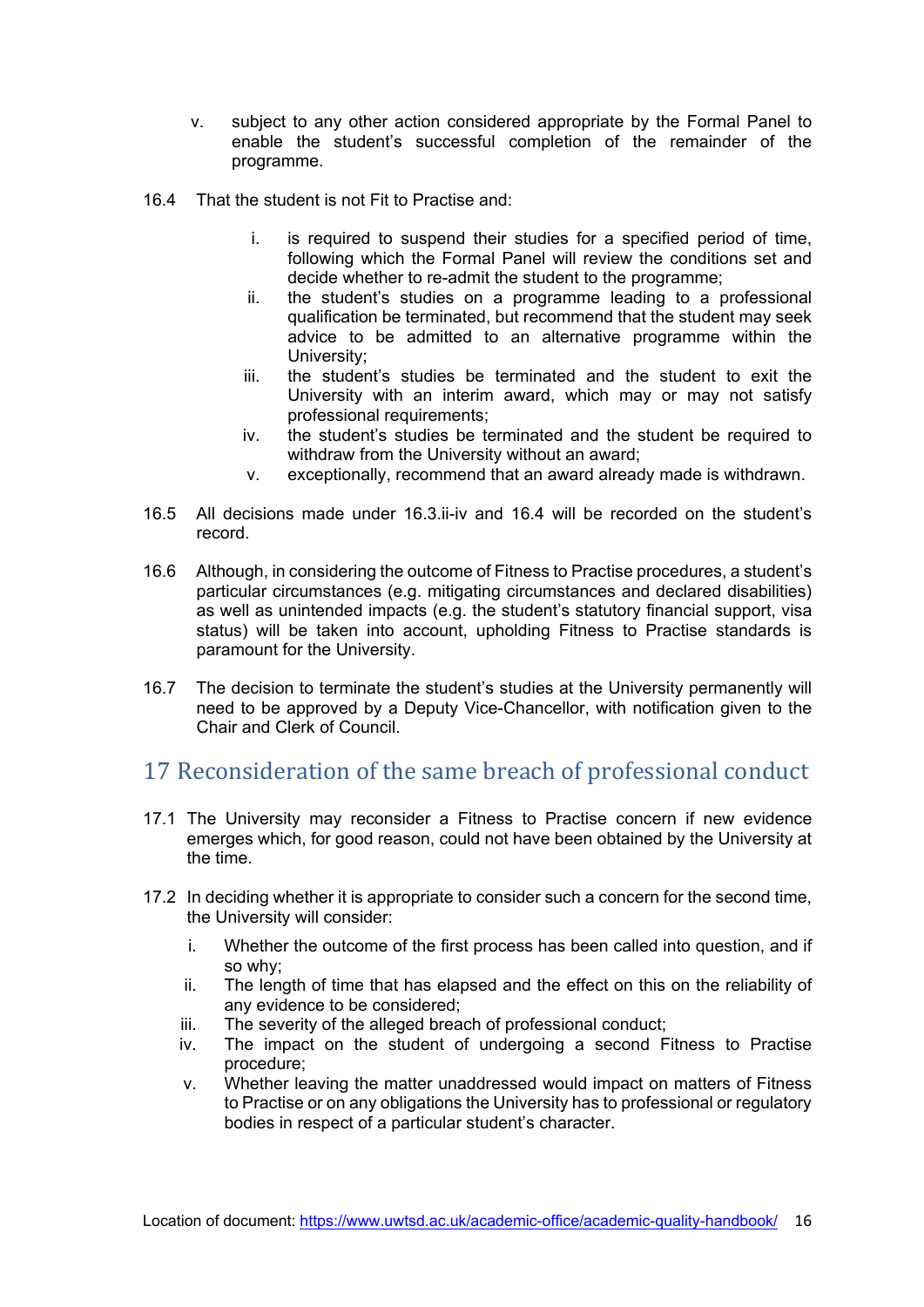- v. subject to any other action considered appropriate by the Formal Panel to enable the student's successful completion of the remainder of the programme.
- 16.4 That the student is not Fit to Practise and:
	- i. is required to suspend their studies for a specified period of time, following which the Formal Panel will review the conditions set and decide whether to re-admit the student to the programme;
	- ii. the student's studies on a programme leading to a professional qualification be terminated, but recommend that the student may seek advice to be admitted to an alternative programme within the University;
	- iii. the student's studies be terminated and the student to exit the University with an interim award, which may or may not satisfy professional requirements;
	- iv. the student's studies be terminated and the student be required to withdraw from the University without an award;
	- v. exceptionally, recommend that an award already made is withdrawn.
- 16.5 All decisions made under 16.3.ii-iv and 16.4 will be recorded on the student's record.
- 16.6 Although, in considering the outcome of Fitness to Practise procedures, a student's particular circumstances (e.g. mitigating circumstances and declared disabilities) as well as unintended impacts (e.g. the student's statutory financial support, visa status) will be taken into account, upholding Fitness to Practise standards is paramount for the University.
- 16.7 The decision to terminate the student's studies at the University permanently will need to be approved by a Deputy Vice-Chancellor, with notification given to the Chair and Clerk of Council.

### <span id="page-15-0"></span>17 Reconsideration of the same breach of professional conduct

- 17.1 The University may reconsider a Fitness to Practise concern if new evidence emerges which, for good reason, could not have been obtained by the University at the time.
- 17.2 In deciding whether it is appropriate to consider such a concern for the second time, the University will consider:
	- i. Whether the outcome of the first process has been called into question, and if so why;
	- ii. The length of time that has elapsed and the effect on this on the reliability of any evidence to be considered;
	- iii. The severity of the alleged breach of professional conduct;
	- iv. The impact on the student of undergoing a second Fitness to Practise procedure;
	- v. Whether leaving the matter unaddressed would impact on matters of Fitness to Practise or on any obligations the University has to professional or regulatory bodies in respect of a particular student's character.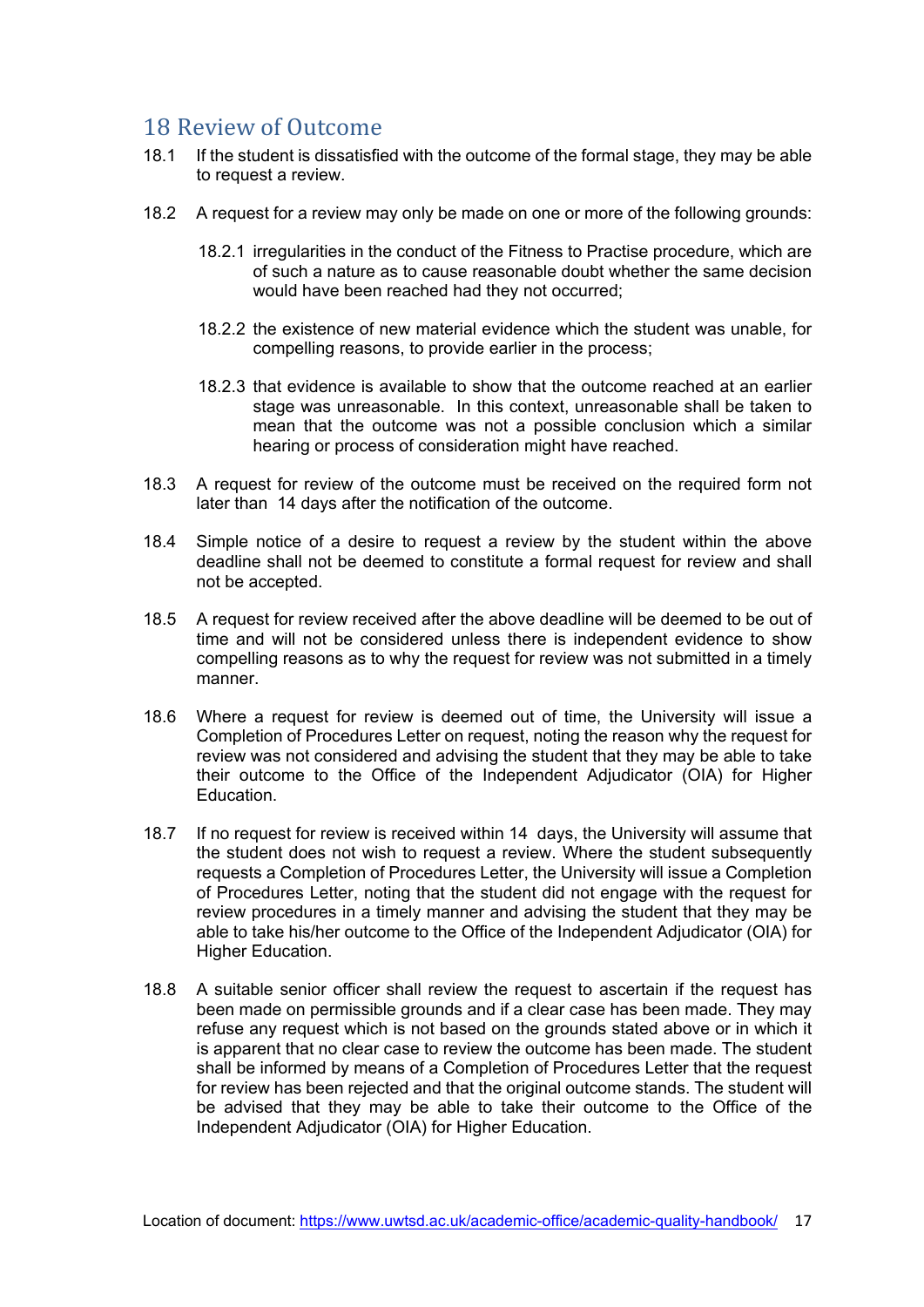### <span id="page-16-0"></span>18 Review of Outcome

- 18.1 If the student is dissatisfied with the outcome of the formal stage, they may be able to request a review.
- 18.2 A request for a review may only be made on one or more of the following grounds:
	- 18.2.1 irregularities in the conduct of the Fitness to Practise procedure, which are of such a nature as to cause reasonable doubt whether the same decision would have been reached had they not occurred;
	- 18.2.2 the existence of new material evidence which the student was unable, for compelling reasons, to provide earlier in the process;
	- 18.2.3 that evidence is available to show that the outcome reached at an earlier stage was unreasonable. In this context, unreasonable shall be taken to mean that the outcome was not a possible conclusion which a similar hearing or process of consideration might have reached.
- 18.3 A request for review of the outcome must be received on the required form not later than 14 days after the notification of the outcome.
- 18.4 Simple notice of a desire to request a review by the student within the above deadline shall not be deemed to constitute a formal request for review and shall not be accepted.
- 18.5 A request for review received after the above deadline will be deemed to be out of time and will not be considered unless there is independent evidence to show compelling reasons as to why the request for review was not submitted in a timely manner.
- 18.6 Where a request for review is deemed out of time, the University will issue a Completion of Procedures Letter on request, noting the reason why the request for review was not considered and advising the student that they may be able to take their outcome to the Office of the Independent Adjudicator (OIA) for Higher Education.
- 18.7 If no request for review is received within 14 days, the University will assume that the student does not wish to request a review. Where the student subsequently requests a Completion of Procedures Letter, the University will issue a Completion of Procedures Letter, noting that the student did not engage with the request for review procedures in a timely manner and advising the student that they may be able to take his/her outcome to the Office of the Independent Adjudicator (OIA) for Higher Education.
- 18.8 A suitable senior officer shall review the request to ascertain if the request has been made on permissible grounds and if a clear case has been made. They may refuse any request which is not based on the grounds stated above or in which it is apparent that no clear case to review the outcome has been made. The student shall be informed by means of a Completion of Procedures Letter that the request for review has been rejected and that the original outcome stands. The student will be advised that they may be able to take their outcome to the Office of the Independent Adjudicator (OIA) for Higher Education.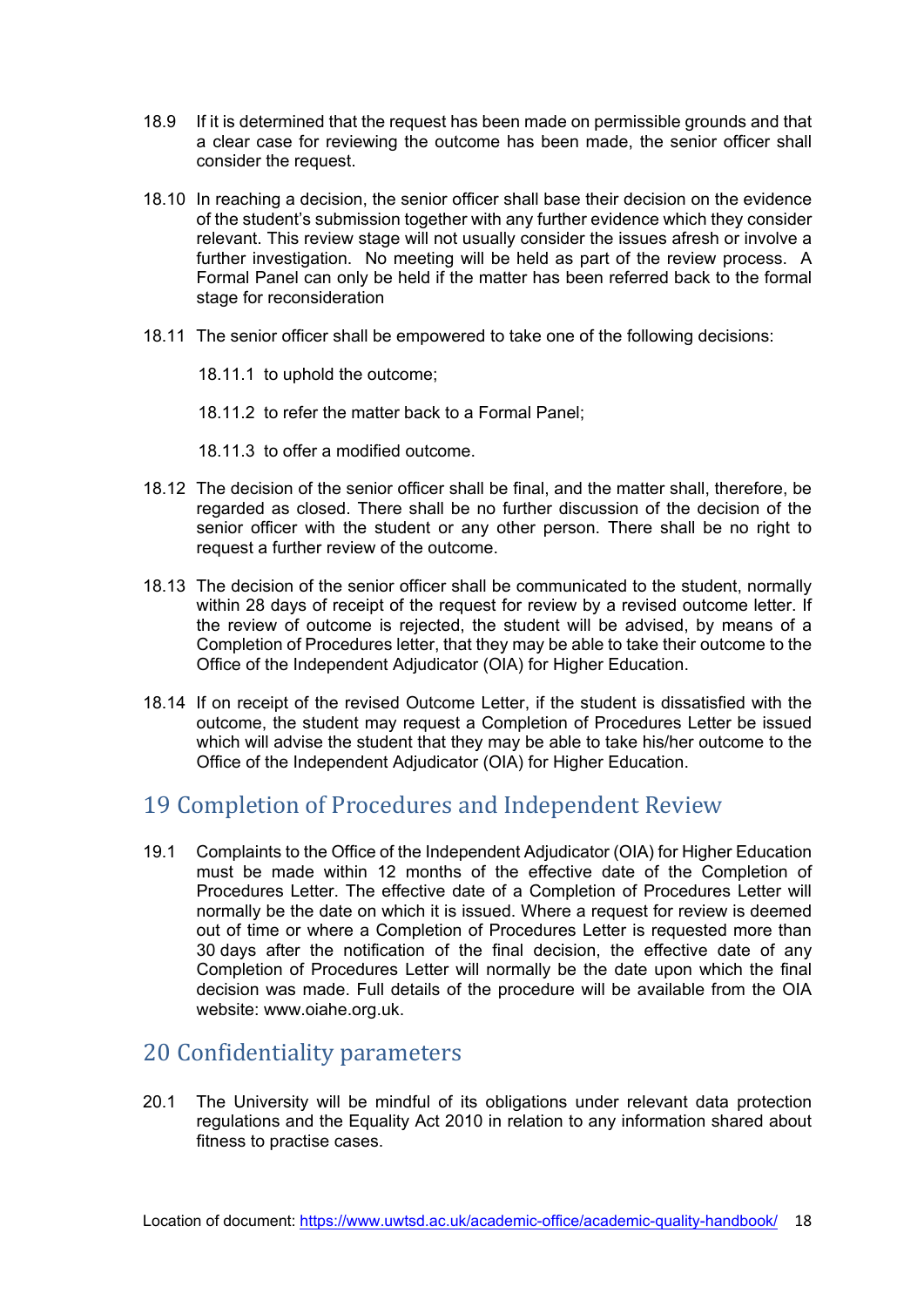- 18.9 If it is determined that the request has been made on permissible grounds and that a clear case for reviewing the outcome has been made, the senior officer shall consider the request.
- 18.10 In reaching a decision, the senior officer shall base their decision on the evidence of the student's submission together with any further evidence which they consider relevant. This review stage will not usually consider the issues afresh or involve a further investigation. No meeting will be held as part of the review process. A Formal Panel can only be held if the matter has been referred back to the formal stage for reconsideration
- 18.11 The senior officer shall be empowered to take one of the following decisions:

18.11.1 to uphold the outcome;

18.11.2 to refer the matter back to a Formal Panel;

18.11.3 to offer a modified outcome.

- 18.12 The decision of the senior officer shall be final, and the matter shall, therefore, be regarded as closed. There shall be no further discussion of the decision of the senior officer with the student or any other person. There shall be no right to request a further review of the outcome.
- 18.13 The decision of the senior officer shall be communicated to the student, normally within 28 days of receipt of the request for review by a revised outcome letter. If the review of outcome is rejected, the student will be advised, by means of a Completion of Procedures letter, that they may be able to take their outcome to the Office of the Independent Adjudicator (OIA) for Higher Education.
- 18.14 If on receipt of the revised Outcome Letter, if the student is dissatisfied with the outcome, the student may request a Completion of Procedures Letter be issued which will advise the student that they may be able to take his/her outcome to the Office of the Independent Adjudicator (OIA) for Higher Education.

### <span id="page-17-0"></span>19 Completion of Procedures and Independent Review

19.1 Complaints to the Office of the Independent Adjudicator (OIA) for Higher Education must be made within 12 months of the effective date of the Completion of Procedures Letter. The effective date of a Completion of Procedures Letter will normally be the date on which it is issued. Where a request for review is deemed out of time or where a Completion of Procedures Letter is requested more than 30 days after the notification of the final decision, the effective date of any Completion of Procedures Letter will normally be the date upon which the final decision was made. Full details of the procedure will be available from the OIA website: [www.oiahe.org.uk.](http://www.oiahe.org.uk/)

### <span id="page-17-1"></span>20 Confidentiality parameters

20.1 The University will be mindful of its obligations under relevant data protection regulations and the Equality Act 2010 in relation to any information shared about fitness to practise cases.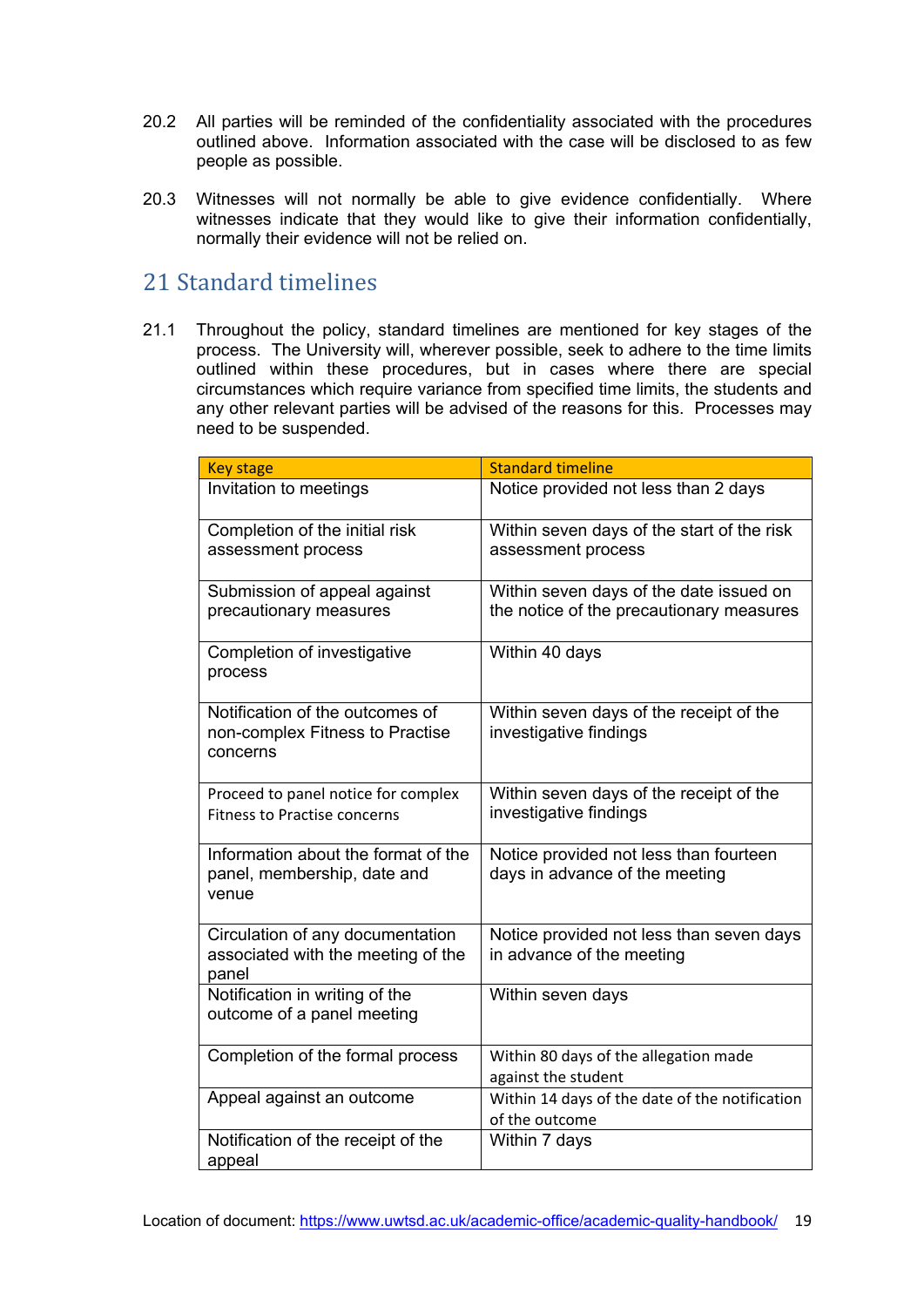- 20.2 All parties will be reminded of the confidentiality associated with the procedures outlined above. Information associated with the case will be disclosed to as few people as possible.
- 20.3 Witnesses will not normally be able to give evidence confidentially. Where witnesses indicate that they would like to give their information confidentially, normally their evidence will not be relied on.

### <span id="page-18-0"></span>21 Standard timelines

21.1 Throughout the policy, standard timelines are mentioned for key stages of the process. The University will, wherever possible, seek to adhere to the time limits outlined within these procedures, but in cases where there are special circumstances which require variance from specified time limits, the students and any other relevant parties will be advised of the reasons for this. Processes may need to be suspended.

| <b>Key stage</b>                                                                | <b>Standard timeline</b>                                                            |
|---------------------------------------------------------------------------------|-------------------------------------------------------------------------------------|
| Invitation to meetings                                                          | Notice provided not less than 2 days                                                |
| Completion of the initial risk<br>assessment process                            | Within seven days of the start of the risk<br>assessment process                    |
| Submission of appeal against<br>precautionary measures                          | Within seven days of the date issued on<br>the notice of the precautionary measures |
| Completion of investigative<br>process                                          | Within 40 days                                                                      |
| Notification of the outcomes of<br>non-complex Fitness to Practise<br>concerns  | Within seven days of the receipt of the<br>investigative findings                   |
| Proceed to panel notice for complex<br><b>Fitness to Practise concerns</b>      | Within seven days of the receipt of the<br>investigative findings                   |
| Information about the format of the<br>panel, membership, date and<br>venue     | Notice provided not less than fourteen<br>days in advance of the meeting            |
| Circulation of any documentation<br>associated with the meeting of the<br>panel | Notice provided not less than seven days<br>in advance of the meeting               |
| Notification in writing of the<br>outcome of a panel meeting                    | Within seven days                                                                   |
| Completion of the formal process                                                | Within 80 days of the allegation made<br>against the student                        |
| Appeal against an outcome                                                       | Within 14 days of the date of the notification<br>of the outcome                    |
| Notification of the receipt of the<br>appeal                                    | Within 7 days                                                                       |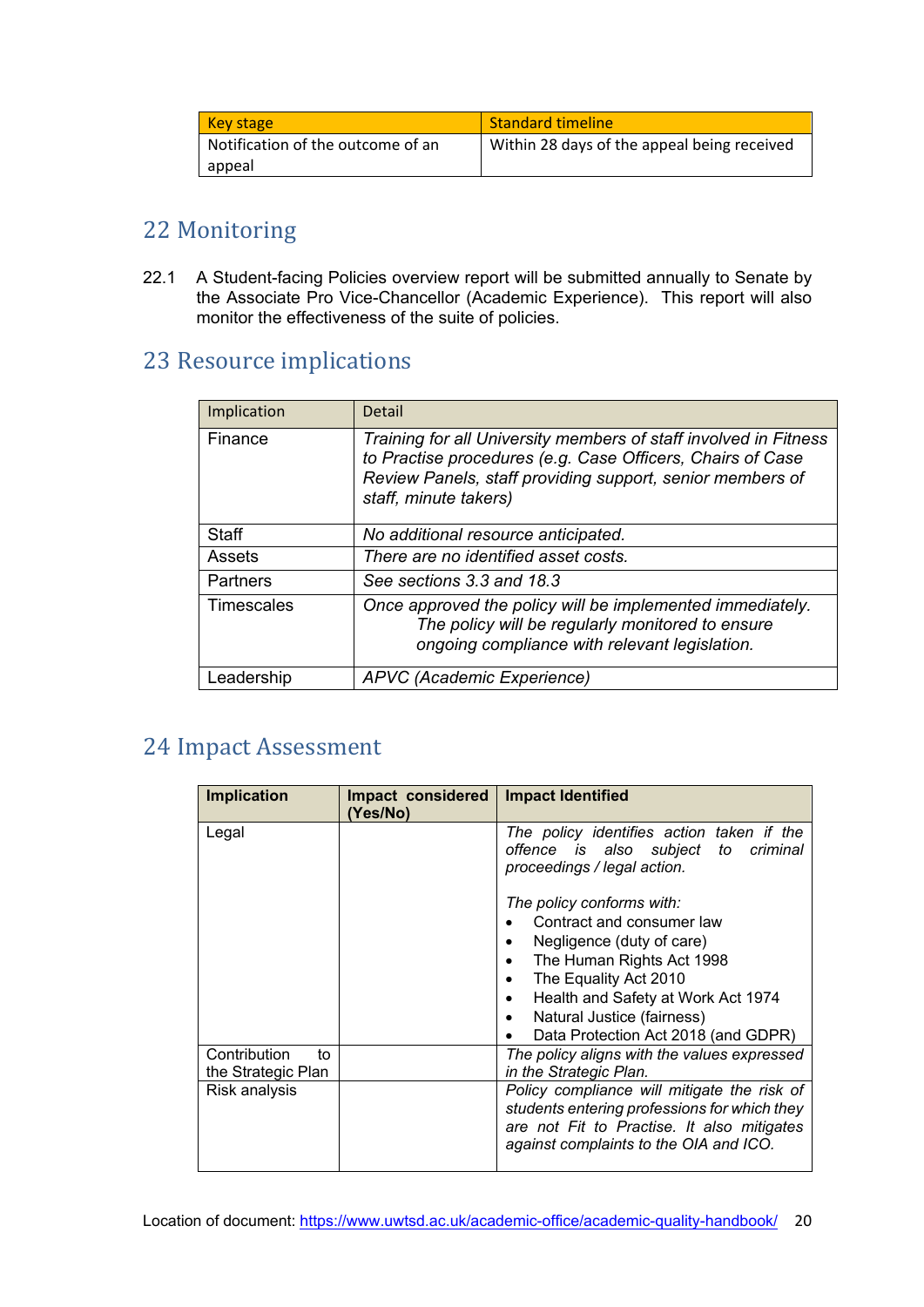| <b>Key stage</b>                  | <b>Standard timeline</b>                    |
|-----------------------------------|---------------------------------------------|
| Notification of the outcome of an | Within 28 days of the appeal being received |
| appeal                            |                                             |

## <span id="page-19-0"></span>22 Monitoring

22.1 A Student-facing Policies overview report will be submitted annually to Senate by the Associate Pro Vice-Chancellor (Academic Experience). This report will also monitor the effectiveness of the suite of policies.

## <span id="page-19-1"></span>23 Resource implications

| Implication | Detail                                                                                                                                                                                                               |
|-------------|----------------------------------------------------------------------------------------------------------------------------------------------------------------------------------------------------------------------|
| Finance     | Training for all University members of staff involved in Fitness<br>to Practise procedures (e.g. Case Officers, Chairs of Case<br>Review Panels, staff providing support, senior members of<br>staff, minute takers) |
| Staff       | No additional resource anticipated.                                                                                                                                                                                  |
| Assets      | There are no identified asset costs.                                                                                                                                                                                 |
| Partners    | See sections 3.3 and 18.3                                                                                                                                                                                            |
| Timescales  | Once approved the policy will be implemented immediately.<br>The policy will be regularly monitored to ensure<br>ongoing compliance with relevant legislation.                                                       |
| Leadership  | APVC (Academic Experience)                                                                                                                                                                                           |

## <span id="page-19-2"></span>24 Impact Assessment

| <b>Implication</b>                       | Impact considered<br>(Yes/No) | <b>Impact Identified</b>                                                                                                                                                                                                                                                                                                                                                               |
|------------------------------------------|-------------------------------|----------------------------------------------------------------------------------------------------------------------------------------------------------------------------------------------------------------------------------------------------------------------------------------------------------------------------------------------------------------------------------------|
| Legal                                    |                               | The policy identifies action taken if the<br>offence is also subject to criminal<br>proceedings / legal action.<br>The policy conforms with:<br>Contract and consumer law<br>Negligence (duty of care)<br>٠<br>The Human Rights Act 1998<br>٠<br>The Equality Act 2010<br>٠<br>Health and Safety at Work Act 1974<br>Natural Justice (fairness)<br>Data Protection Act 2018 (and GDPR) |
| Contribution<br>to<br>the Strategic Plan |                               | The policy aligns with the values expressed<br>in the Strategic Plan.                                                                                                                                                                                                                                                                                                                  |
| Risk analysis                            |                               | Policy compliance will mitigate the risk of<br>students entering professions for which they<br>are not Fit to Practise. It also mitigates<br>against complaints to the OIA and ICO.                                                                                                                                                                                                    |